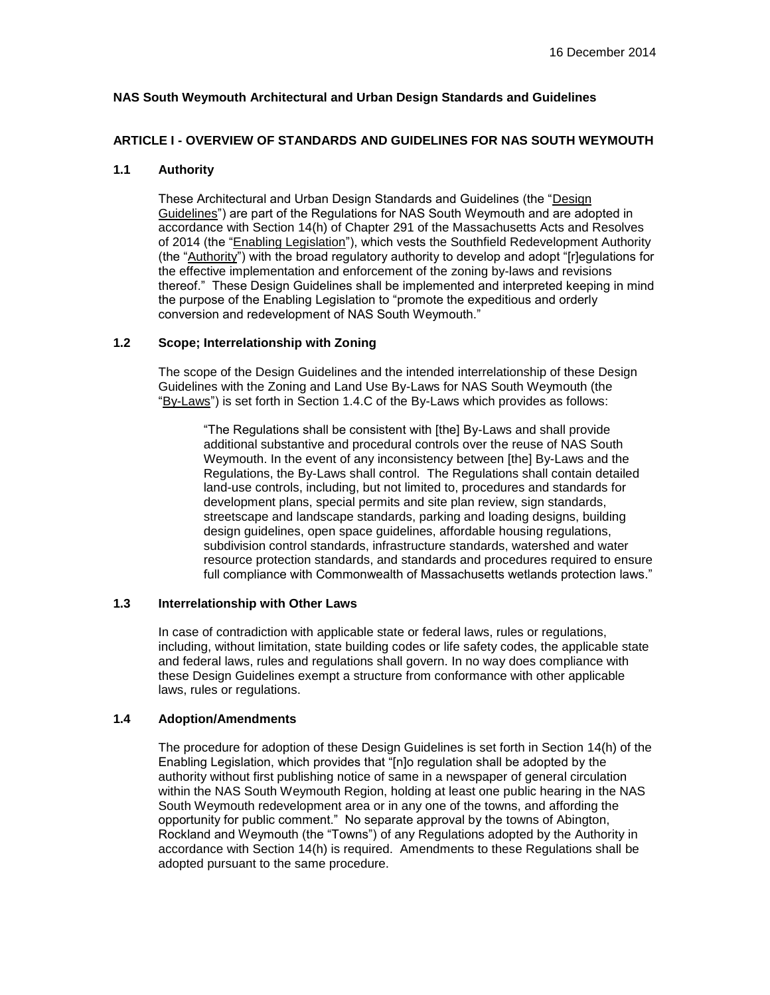### **NAS South Weymouth Architectural and Urban Design Standards and Guidelines**

## **ARTICLE I - OVERVIEW OF STANDARDS AND GUIDELINES FOR NAS SOUTH WEYMOUTH**

#### **1.1 Authority**

These Architectural and Urban Design Standards and Guidelines (the "Design Guidelines") are part of the Regulations for NAS South Weymouth and are adopted in accordance with Section 14(h) of Chapter 291 of the Massachusetts Acts and Resolves of 2014 (the "Enabling Legislation"), which vests the Southfield Redevelopment Authority (the "Authority") with the broad regulatory authority to develop and adopt "[r]egulations for the effective implementation and enforcement of the zoning by-laws and revisions thereof." These Design Guidelines shall be implemented and interpreted keeping in mind the purpose of the Enabling Legislation to "promote the expeditious and orderly conversion and redevelopment of NAS South Weymouth."

#### **1.2 Scope; Interrelationship with Zoning**

The scope of the Design Guidelines and the intended interrelationship of these Design Guidelines with the Zoning and Land Use By-Laws for NAS South Weymouth (the "By-Laws") is set forth in Section 1.4.C of the By-Laws which provides as follows:

"The Regulations shall be consistent with [the] By-Laws and shall provide additional substantive and procedural controls over the reuse of NAS South Weymouth. In the event of any inconsistency between [the] By-Laws and the Regulations, the By-Laws shall control. The Regulations shall contain detailed land-use controls, including, but not limited to, procedures and standards for development plans, special permits and site plan review, sign standards, streetscape and landscape standards, parking and loading designs, building design guidelines, open space guidelines, affordable housing regulations, subdivision control standards, infrastructure standards, watershed and water resource protection standards, and standards and procedures required to ensure full compliance with Commonwealth of Massachusetts wetlands protection laws."

#### **1.3 Interrelationship with Other Laws**

In case of contradiction with applicable state or federal laws, rules or regulations, including, without limitation, state building codes or life safety codes, the applicable state and federal laws, rules and regulations shall govern. In no way does compliance with these Design Guidelines exempt a structure from conformance with other applicable laws, rules or regulations.

## **1.4 Adoption/Amendments**

The procedure for adoption of these Design Guidelines is set forth in Section 14(h) of the Enabling Legislation, which provides that "[n]o regulation shall be adopted by the authority without first publishing notice of same in a newspaper of general circulation within the NAS South Weymouth Region, holding at least one public hearing in the NAS South Weymouth redevelopment area or in any one of the towns, and affording the opportunity for public comment." No separate approval by the towns of Abington, Rockland and Weymouth (the "Towns") of any Regulations adopted by the Authority in accordance with Section 14(h) is required. Amendments to these Regulations shall be adopted pursuant to the same procedure.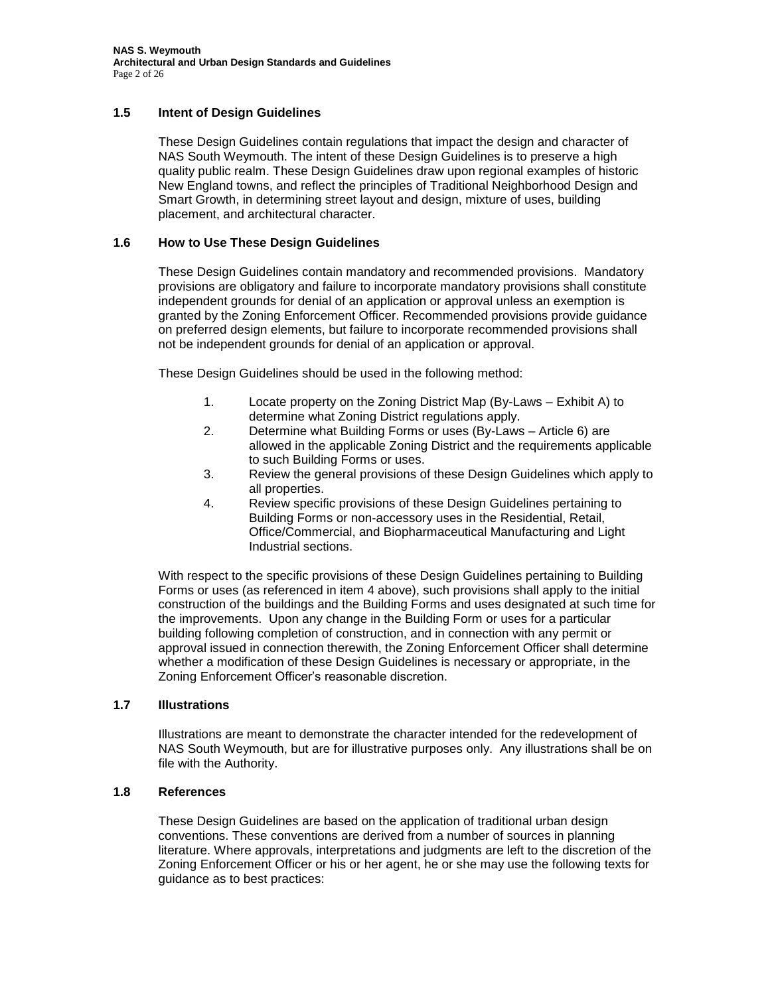## **1.5 Intent of Design Guidelines**

These Design Guidelines contain regulations that impact the design and character of NAS South Weymouth. The intent of these Design Guidelines is to preserve a high quality public realm. These Design Guidelines draw upon regional examples of historic New England towns, and reflect the principles of Traditional Neighborhood Design and Smart Growth, in determining street layout and design, mixture of uses, building placement, and architectural character.

### **1.6 How to Use These Design Guidelines**

These Design Guidelines contain mandatory and recommended provisions. Mandatory provisions are obligatory and failure to incorporate mandatory provisions shall constitute independent grounds for denial of an application or approval unless an exemption is granted by the Zoning Enforcement Officer. Recommended provisions provide guidance on preferred design elements, but failure to incorporate recommended provisions shall not be independent grounds for denial of an application or approval.

These Design Guidelines should be used in the following method:

- 1. Locate property on the Zoning District Map (By-Laws Exhibit A) to determine what Zoning District regulations apply.
- 2. Determine what Building Forms or uses (By-Laws Article 6) are allowed in the applicable Zoning District and the requirements applicable to such Building Forms or uses.
- 3. Review the general provisions of these Design Guidelines which apply to all properties.
- 4. Review specific provisions of these Design Guidelines pertaining to Building Forms or non-accessory uses in the Residential, Retail, Office/Commercial, and Biopharmaceutical Manufacturing and Light Industrial sections.

With respect to the specific provisions of these Design Guidelines pertaining to Building Forms or uses (as referenced in item 4 above), such provisions shall apply to the initial construction of the buildings and the Building Forms and uses designated at such time for the improvements. Upon any change in the Building Form or uses for a particular building following completion of construction, and in connection with any permit or approval issued in connection therewith, the Zoning Enforcement Officer shall determine whether a modification of these Design Guidelines is necessary or appropriate, in the Zoning Enforcement Officer's reasonable discretion.

#### **1.7 Illustrations**

Illustrations are meant to demonstrate the character intended for the redevelopment of NAS South Weymouth, but are for illustrative purposes only. Any illustrations shall be on file with the Authority.

#### **1.8 References**

These Design Guidelines are based on the application of traditional urban design conventions. These conventions are derived from a number of sources in planning literature. Where approvals, interpretations and judgments are left to the discretion of the Zoning Enforcement Officer or his or her agent, he or she may use the following texts for guidance as to best practices: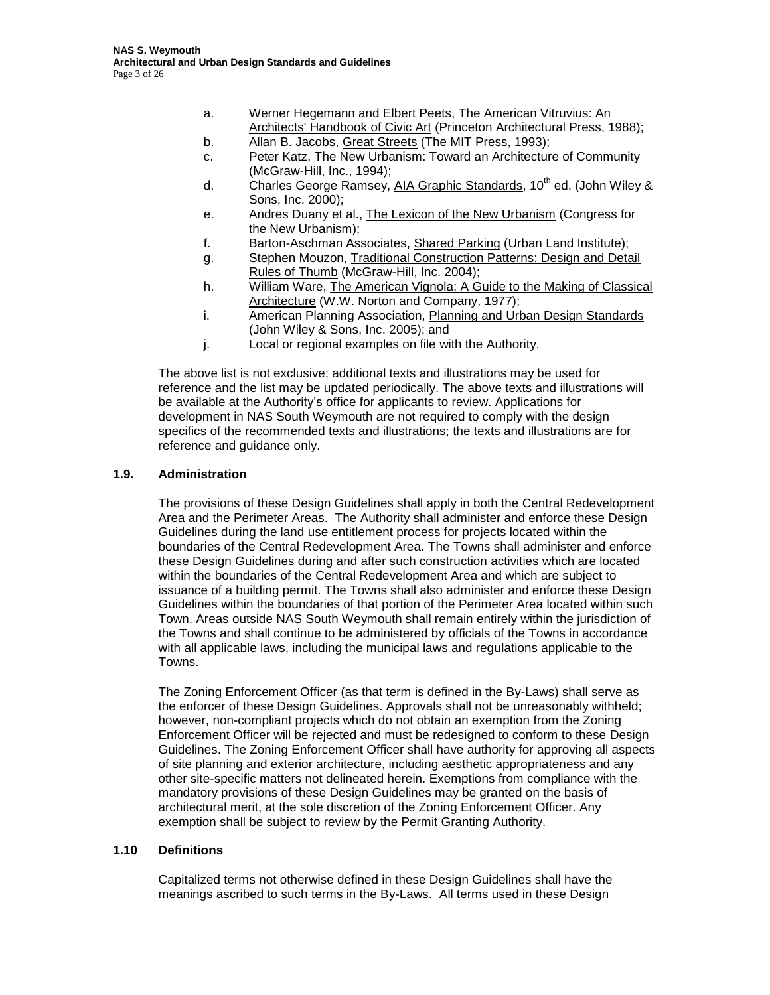- a. Werner Hegemann and Elbert Peets, The American Vitruvius: An Architects' Handbook of Civic Art (Princeton Architectural Press, 1988); b. Allan B. Jacobs, Great Streets (The MIT Press, 1993);
- c. Peter Katz, The New Urbanism: Toward an Architecture of Community (McGraw-Hill, Inc., 1994);
- d. Charles George Ramsey, AIA Graphic Standards,  $10^{th}$  ed. (John Wiley & Sons, Inc. 2000);
- e. Andres Duany et al., The Lexicon of the New Urbanism (Congress for the New Urbanism);
- f. Barton-Aschman Associates, Shared Parking (Urban Land Institute);
- g. Stephen Mouzon, Traditional Construction Patterns: Design and Detail Rules of Thumb (McGraw-Hill, Inc. 2004);
- h. William Ware, The American Vignola: A Guide to the Making of Classical Architecture (W.W. Norton and Company, 1977);
- i. American Planning Association, Planning and Urban Design Standards (John Wiley & Sons, Inc. 2005); and
- j. Local or regional examples on file with the Authority.

The above list is not exclusive; additional texts and illustrations may be used for reference and the list may be updated periodically. The above texts and illustrations will be available at the Authority's office for applicants to review. Applications for development in NAS South Weymouth are not required to comply with the design specifics of the recommended texts and illustrations; the texts and illustrations are for reference and guidance only.

### **1.9. Administration**

The provisions of these Design Guidelines shall apply in both the Central Redevelopment Area and the Perimeter Areas. The Authority shall administer and enforce these Design Guidelines during the land use entitlement process for projects located within the boundaries of the Central Redevelopment Area. The Towns shall administer and enforce these Design Guidelines during and after such construction activities which are located within the boundaries of the Central Redevelopment Area and which are subject to issuance of a building permit. The Towns shall also administer and enforce these Design Guidelines within the boundaries of that portion of the Perimeter Area located within such Town. Areas outside NAS South Weymouth shall remain entirely within the jurisdiction of the Towns and shall continue to be administered by officials of the Towns in accordance with all applicable laws, including the municipal laws and regulations applicable to the Towns.

The Zoning Enforcement Officer (as that term is defined in the By-Laws) shall serve as the enforcer of these Design Guidelines. Approvals shall not be unreasonably withheld; however, non-compliant projects which do not obtain an exemption from the Zoning Enforcement Officer will be rejected and must be redesigned to conform to these Design Guidelines. The Zoning Enforcement Officer shall have authority for approving all aspects of site planning and exterior architecture, including aesthetic appropriateness and any other site-specific matters not delineated herein. Exemptions from compliance with the mandatory provisions of these Design Guidelines may be granted on the basis of architectural merit, at the sole discretion of the Zoning Enforcement Officer. Any exemption shall be subject to review by the Permit Granting Authority.

### **1.10 Definitions**

Capitalized terms not otherwise defined in these Design Guidelines shall have the meanings ascribed to such terms in the By-Laws. All terms used in these Design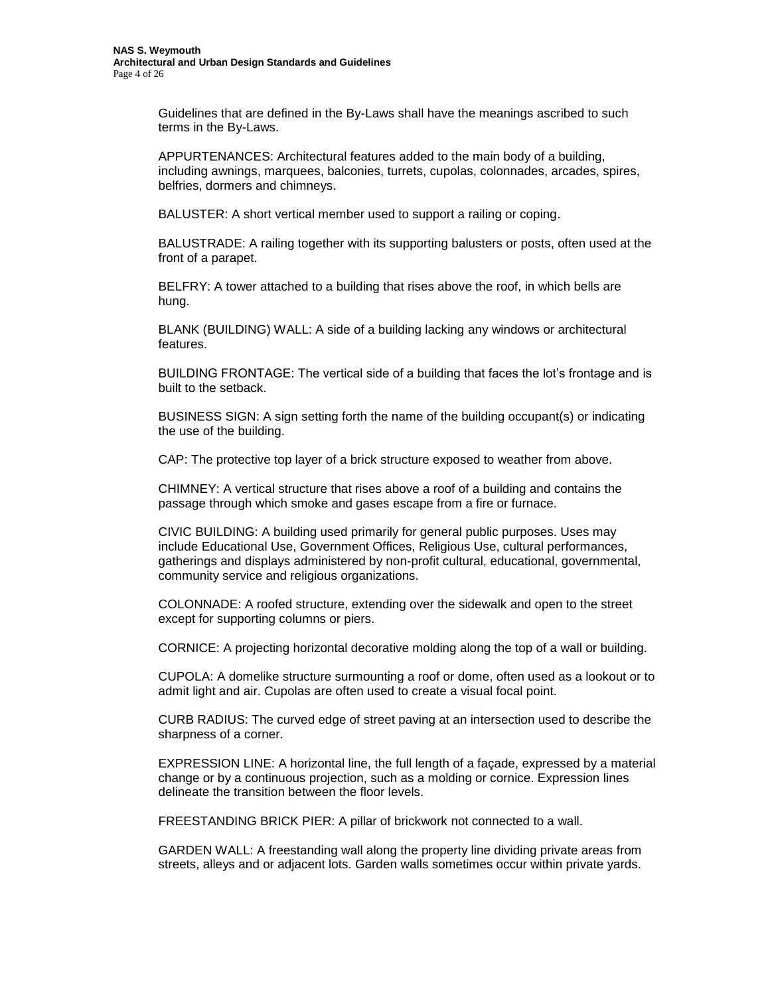Guidelines that are defined in the By-Laws shall have the meanings ascribed to such terms in the By-Laws.

APPURTENANCES: Architectural features added to the main body of a building, including awnings, marquees, balconies, turrets, cupolas, colonnades, arcades, spires, belfries, dormers and chimneys.

BALUSTER: A short vertical member used to support a railing or coping.

BALUSTRADE: A railing together with its supporting balusters or posts, often used at the front of a parapet.

BELFRY: A tower attached to a building that rises above the roof, in which bells are hung.

BLANK (BUILDING) WALL: A side of a building lacking any windows or architectural features.

BUILDING FRONTAGE: The vertical side of a building that faces the lot's frontage and is built to the setback.

BUSINESS SIGN: A sign setting forth the name of the building occupant(s) or indicating the use of the building.

CAP: The protective top layer of a brick structure exposed to weather from above.

CHIMNEY: A vertical structure that rises above a roof of a building and contains the passage through which smoke and gases escape from a fire or furnace.

CIVIC BUILDING: A building used primarily for general public purposes. Uses may include Educational Use, Government Offices, Religious Use, cultural performances, gatherings and displays administered by non-profit cultural, educational, governmental, community service and religious organizations.

COLONNADE: A roofed structure, extending over the sidewalk and open to the street except for supporting columns or piers.

CORNICE: A projecting horizontal decorative molding along the top of a wall or building.

CUPOLA: A domelike structure surmounting a roof or dome, often used as a lookout or to admit light and air. Cupolas are often used to create a visual focal point.

CURB RADIUS: The curved edge of street paving at an intersection used to describe the sharpness of a corner.

EXPRESSION LINE: A horizontal line, the full length of a façade, expressed by a material change or by a continuous projection, such as a molding or cornice. Expression lines delineate the transition between the floor levels.

FREESTANDING BRICK PIER: A pillar of brickwork not connected to a wall.

GARDEN WALL: A freestanding wall along the property line dividing private areas from streets, alleys and or adjacent lots. Garden walls sometimes occur within private yards.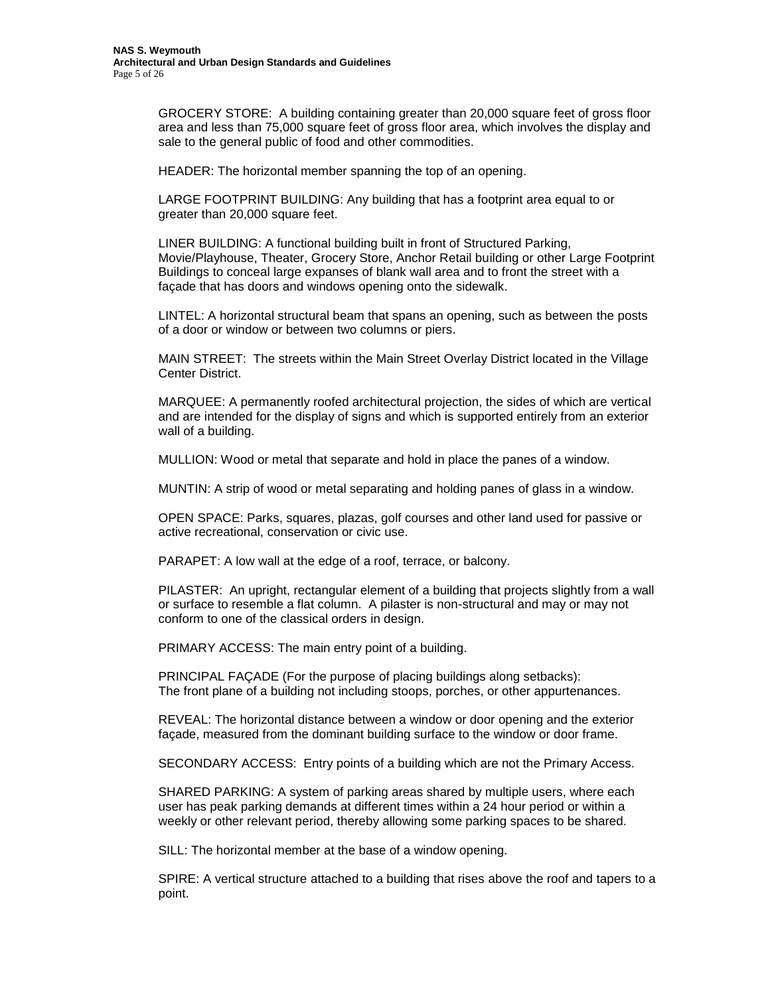GROCERY STORE: A building containing greater than 20,000 square feet of gross floor area and less than 75,000 square feet of gross floor area, which involves the display and sale to the general public of food and other commodities.

HEADER: The horizontal member spanning the top of an opening.

LARGE FOOTPRINT BUILDING: Any building that has a footprint area equal to or greater than 20,000 square feet.

LINER BUILDING: A functional building built in front of Structured Parking, Movie/Playhouse, Theater, Grocery Store, Anchor Retail building or other Large Footprint Buildings to conceal large expanses of blank wall area and to front the street with a façade that has doors and windows opening onto the sidewalk.

LINTEL: A horizontal structural beam that spans an opening, such as between the posts of a door or window or between two columns or piers.

MAIN STREET: The streets within the Main Street Overlay District located in the Village Center District.

MARQUEE: A permanently roofed architectural projection, the sides of which are vertical and are intended for the display of signs and which is supported entirely from an exterior wall of a building.

MULLION: Wood or metal that separate and hold in place the panes of a window.

MUNTIN: A strip of wood or metal separating and holding panes of glass in a window.

OPEN SPACE: Parks, squares, plazas, golf courses and other land used for passive or active recreational, conservation or civic use.

PARAPET: A low wall at the edge of a roof, terrace, or balcony.

PILASTER: An upright, rectangular element of a building that projects slightly from a wall or surface to resemble a flat column. A pilaster is non-structural and may or may not conform to one of the classical orders in design.

PRIMARY ACCESS: The main entry point of a building.

PRINCIPAL FAÇADE (For the purpose of placing buildings along setbacks): The front plane of a building not including stoops, porches, or other appurtenances.

REVEAL: The horizontal distance between a window or door opening and the exterior façade, measured from the dominant building surface to the window or door frame.

SECONDARY ACCESS: Entry points of a building which are not the Primary Access.

SHARED PARKING: A system of parking areas shared by multiple users, where each user has peak parking demands at different times within a 24 hour period or within a weekly or other relevant period, thereby allowing some parking spaces to be shared.

SILL: The horizontal member at the base of a window opening.

SPIRE: A vertical structure attached to a building that rises above the roof and tapers to a point.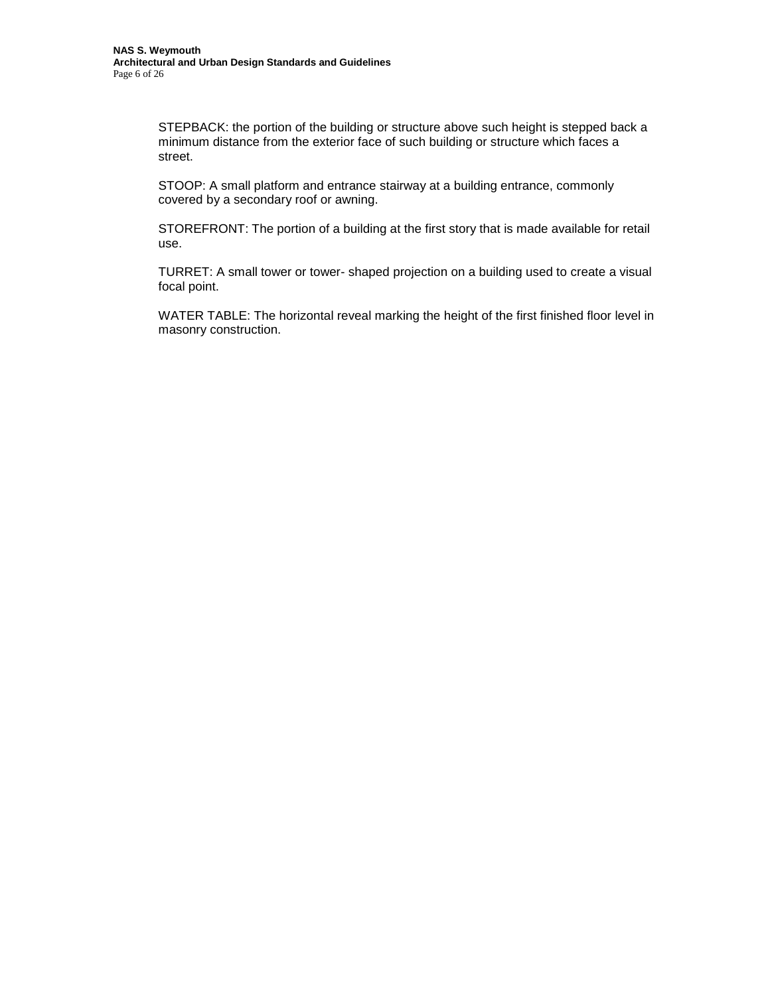STEPBACK: the portion of the building or structure above such height is stepped back a minimum distance from the exterior face of such building or structure which faces a street.

STOOP: A small platform and entrance stairway at a building entrance, commonly covered by a secondary roof or awning.

STOREFRONT: The portion of a building at the first story that is made available for retail use.

TURRET: A small tower or tower- shaped projection on a building used to create a visual focal point.

WATER TABLE: The horizontal reveal marking the height of the first finished floor level in masonry construction.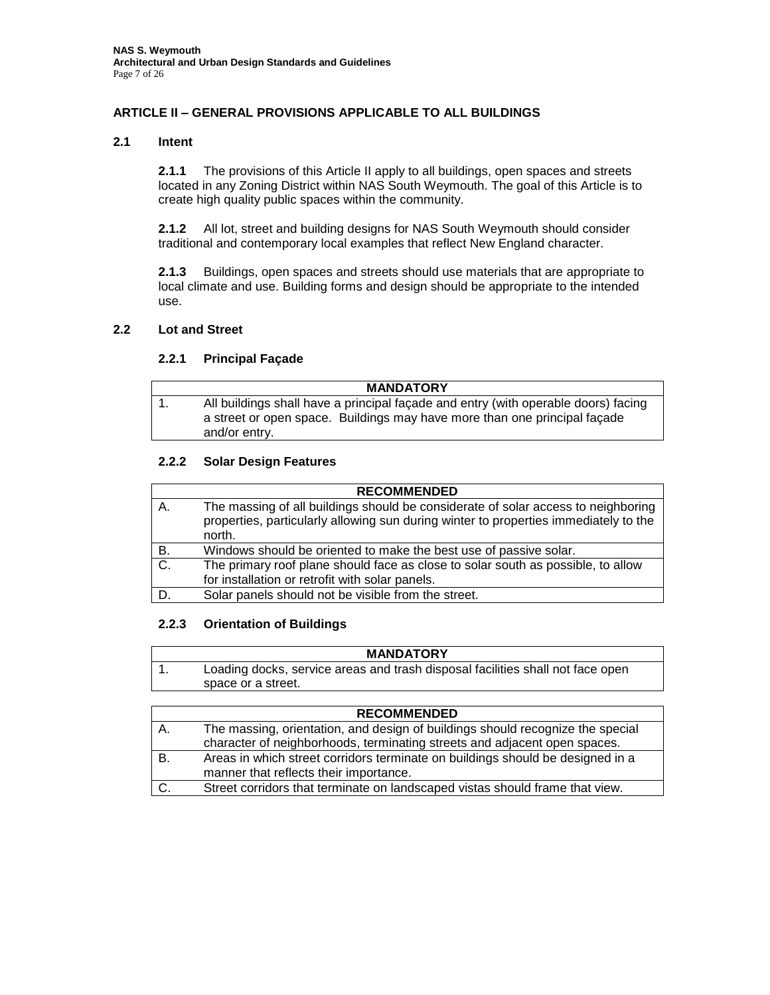## **ARTICLE II – GENERAL PROVISIONS APPLICABLE TO ALL BUILDINGS**

## **2.1 Intent**

**2.1.1** The provisions of this Article II apply to all buildings, open spaces and streets located in any Zoning District within NAS South Weymouth. The goal of this Article is to create high quality public spaces within the community.

**2.1.2** All lot, street and building designs for NAS South Weymouth should consider traditional and contemporary local examples that reflect New England character.

**2.1.3** Buildings, open spaces and streets should use materials that are appropriate to local climate and use. Building forms and design should be appropriate to the intended use.

#### **2.2 Lot and Street**

#### **2.2.1 Principal Façade**

| <b>MANDATORY</b>                                                                   |
|------------------------------------------------------------------------------------|
| All buildings shall have a principal façade and entry (with operable doors) facing |
| a street or open space. Buildings may have more than one principal facade          |
| and/or entry.                                                                      |

#### **2.2.2 Solar Design Features**

| <b>RECOMMENDED</b> |                                                                                                                                                                                     |  |
|--------------------|-------------------------------------------------------------------------------------------------------------------------------------------------------------------------------------|--|
| А.                 | The massing of all buildings should be considerate of solar access to neighboring<br>properties, particularly allowing sun during winter to properties immediately to the<br>north. |  |
| В.                 | Windows should be oriented to make the best use of passive solar.                                                                                                                   |  |
| C.                 | The primary roof plane should face as close to solar south as possible, to allow<br>for installation or retrofit with solar panels.                                                 |  |
| D.                 | Solar panels should not be visible from the street.                                                                                                                                 |  |

#### **2.2.3 Orientation of Buildings**

| <b>MANDATORY</b>                                                               |
|--------------------------------------------------------------------------------|
| Loading docks, service areas and trash disposal facilities shall not face open |
| space or a street.                                                             |

|    | <b>RECOMMENDED</b>                                                             |
|----|--------------------------------------------------------------------------------|
| А. | The massing, orientation, and design of buildings should recognize the special |
|    | character of neighborhoods, terminating streets and adjacent open spaces.      |
| B. | Areas in which street corridors terminate on buildings should be designed in a |
|    | manner that reflects their importance.                                         |
|    | Street corridors that terminate on landscaped vistas should frame that view.   |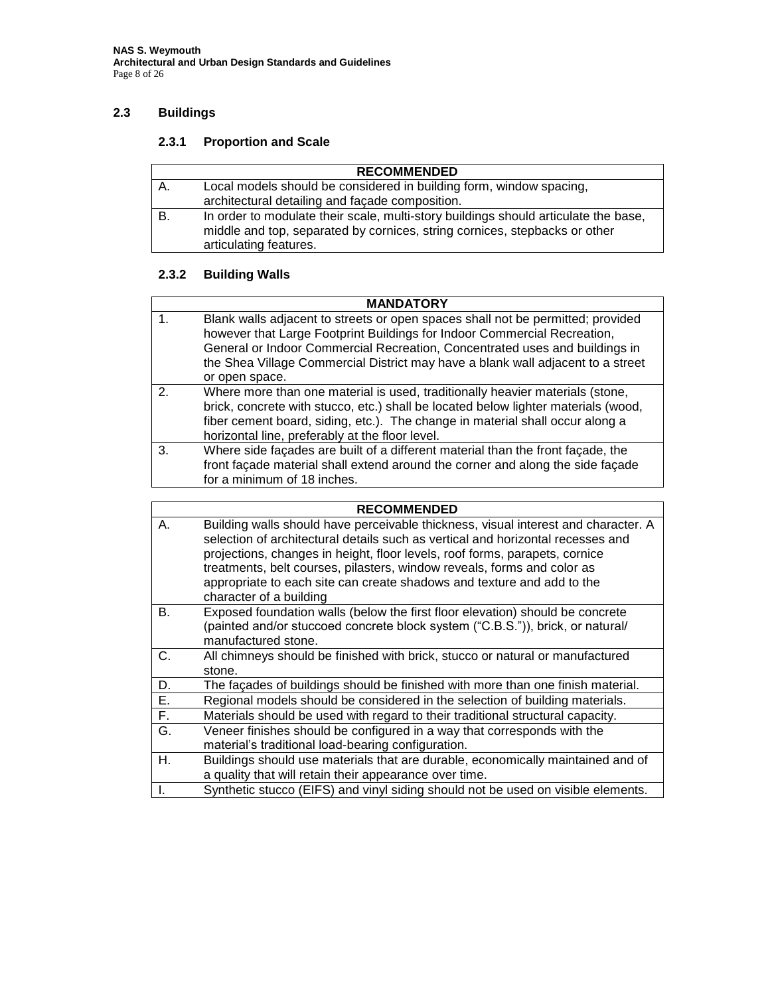# **2.3 Buildings**

# **2.3.1 Proportion and Scale**

|    | <b>RECOMMENDED</b>                                                                  |
|----|-------------------------------------------------------------------------------------|
| Α. | Local models should be considered in building form, window spacing,                 |
|    | architectural detailing and façade composition.                                     |
| В. | In order to modulate their scale, multi-story buildings should articulate the base, |
|    | middle and top, separated by cornices, string cornices, stepbacks or other          |
|    | articulating features.                                                              |

# **2.3.2 Building Walls**

|    | <b>MANDATORY</b>                                                                                                                                                                                                                                                                                                                                |
|----|-------------------------------------------------------------------------------------------------------------------------------------------------------------------------------------------------------------------------------------------------------------------------------------------------------------------------------------------------|
| 1. | Blank walls adjacent to streets or open spaces shall not be permitted; provided<br>however that Large Footprint Buildings for Indoor Commercial Recreation,<br>General or Indoor Commercial Recreation, Concentrated uses and buildings in<br>the Shea Village Commercial District may have a blank wall adjacent to a street<br>or open space. |
| 2. | Where more than one material is used, traditionally heavier materials (stone,<br>brick, concrete with stucco, etc.) shall be located below lighter materials (wood,<br>fiber cement board, siding, etc.). The change in material shall occur along a<br>horizontal line, preferably at the floor level.                                         |
| 3. | Where side façades are built of a different material than the front façade, the<br>front façade material shall extend around the corner and along the side façade<br>for a minimum of 18 inches.                                                                                                                                                |

|    | <b>RECOMMENDED</b>                                                                                                                                                                                                                                                                                                                                                                                                                   |
|----|--------------------------------------------------------------------------------------------------------------------------------------------------------------------------------------------------------------------------------------------------------------------------------------------------------------------------------------------------------------------------------------------------------------------------------------|
| А. | Building walls should have perceivable thickness, visual interest and character. A<br>selection of architectural details such as vertical and horizontal recesses and<br>projections, changes in height, floor levels, roof forms, parapets, cornice<br>treatments, belt courses, pilasters, window reveals, forms and color as<br>appropriate to each site can create shadows and texture and add to the<br>character of a building |
| В. | Exposed foundation walls (below the first floor elevation) should be concrete<br>(painted and/or stuccoed concrete block system ("C.B.S.")), brick, or natural/<br>manufactured stone.                                                                                                                                                                                                                                               |
| C. | All chimneys should be finished with brick, stucco or natural or manufactured<br>stone.                                                                                                                                                                                                                                                                                                                                              |
| D. | The façades of buildings should be finished with more than one finish material.                                                                                                                                                                                                                                                                                                                                                      |
| Ε. | Regional models should be considered in the selection of building materials.                                                                                                                                                                                                                                                                                                                                                         |
| F. | Materials should be used with regard to their traditional structural capacity.                                                                                                                                                                                                                                                                                                                                                       |
| G. | Veneer finishes should be configured in a way that corresponds with the<br>material's traditional load-bearing configuration.                                                                                                                                                                                                                                                                                                        |
| Η. | Buildings should use materials that are durable, economically maintained and of<br>a quality that will retain their appearance over time.                                                                                                                                                                                                                                                                                            |
|    | Synthetic stucco (EIFS) and vinyl siding should not be used on visible elements.                                                                                                                                                                                                                                                                                                                                                     |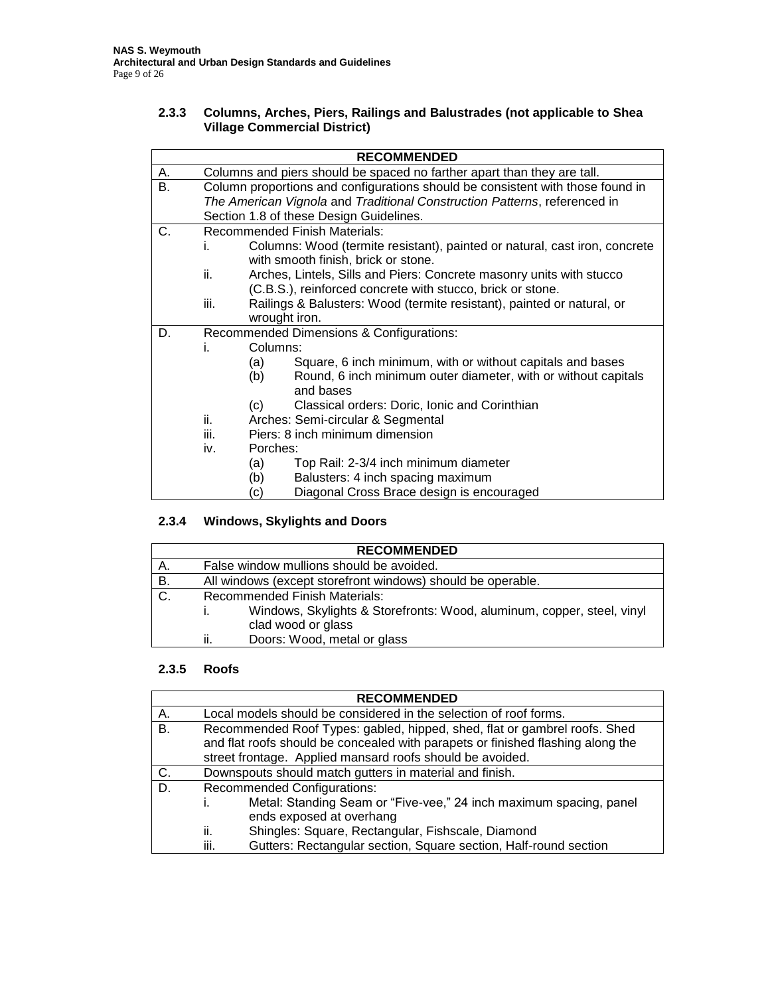#### **2.3.3 Columns, Arches, Piers, Railings and Balustrades (not applicable to Shea Village Commercial District)**

|    | <b>RECOMMENDED</b>                                                        |                                                                                    |  |
|----|---------------------------------------------------------------------------|------------------------------------------------------------------------------------|--|
| А. |                                                                           | Columns and piers should be spaced no farther apart than they are tall.            |  |
| В. |                                                                           | Column proportions and configurations should be consistent with those found in     |  |
|    | The American Vignola and Traditional Construction Patterns, referenced in |                                                                                    |  |
|    |                                                                           | Section 1.8 of these Design Guidelines.                                            |  |
| C. |                                                                           | <b>Recommended Finish Materials:</b>                                               |  |
|    | i.                                                                        | Columns: Wood (termite resistant), painted or natural, cast iron, concrete         |  |
|    |                                                                           | with smooth finish, brick or stone.                                                |  |
|    | ii.                                                                       | Arches, Lintels, Sills and Piers: Concrete masonry units with stucco               |  |
|    |                                                                           | (C.B.S.), reinforced concrete with stucco, brick or stone.                         |  |
|    | iii.                                                                      | Railings & Balusters: Wood (termite resistant), painted or natural, or             |  |
|    |                                                                           | wrought iron.                                                                      |  |
| D. | Recommended Dimensions & Configurations:                                  |                                                                                    |  |
|    | i.                                                                        | Columns:                                                                           |  |
|    |                                                                           | Square, 6 inch minimum, with or without capitals and bases<br>(a)                  |  |
|    |                                                                           | Round, 6 inch minimum outer diameter, with or without capitals<br>(b)<br>and bases |  |
|    |                                                                           | Classical orders: Doric, Ionic and Corinthian<br>(c)                               |  |
|    | ii.                                                                       | Arches: Semi-circular & Segmental                                                  |  |
|    | iii.                                                                      | Piers: 8 inch minimum dimension                                                    |  |
|    | iv.                                                                       | Porches:                                                                           |  |
|    |                                                                           | (a)<br>Top Rail: 2-3/4 inch minimum diameter                                       |  |
|    |                                                                           | Balusters: 4 inch spacing maximum<br>(b)                                           |  |
|    |                                                                           | Diagonal Cross Brace design is encouraged<br>(c)                                   |  |

# **2.3.4 Windows, Skylights and Doors**

|           | <b>RECOMMENDED</b>                                                     |  |
|-----------|------------------------------------------------------------------------|--|
| Α.        | False window mullions should be avoided.                               |  |
| <b>B.</b> | All windows (except storefront windows) should be operable.            |  |
| C.        | <b>Recommended Finish Materials:</b>                                   |  |
|           | Windows, Skylights & Storefronts: Wood, aluminum, copper, steel, vinyl |  |
|           | clad wood or glass                                                     |  |
|           | Doors: Wood, metal or glass<br>ii.                                     |  |

#### **2.3.5 Roofs**

|    | <b>RECOMMENDED</b>                                                                                                                                           |  |  |  |
|----|--------------------------------------------------------------------------------------------------------------------------------------------------------------|--|--|--|
| А. | Local models should be considered in the selection of roof forms.                                                                                            |  |  |  |
| В. | Recommended Roof Types: gabled, hipped, shed, flat or gambrel roofs. Shed<br>and flat roofs should be concealed with parapets or finished flashing along the |  |  |  |
|    | street frontage. Applied mansard roofs should be avoided.                                                                                                    |  |  |  |
| C. | Downspouts should match gutters in material and finish.                                                                                                      |  |  |  |
| D. | <b>Recommended Configurations:</b>                                                                                                                           |  |  |  |
|    | Metal: Standing Seam or "Five-vee," 24 inch maximum spacing, panel<br>ı.<br>ends exposed at overhang                                                         |  |  |  |
|    | ii.<br>Shingles: Square, Rectangular, Fishscale, Diamond                                                                                                     |  |  |  |
|    | Gutters: Rectangular section, Square section, Half-round section<br>iii.                                                                                     |  |  |  |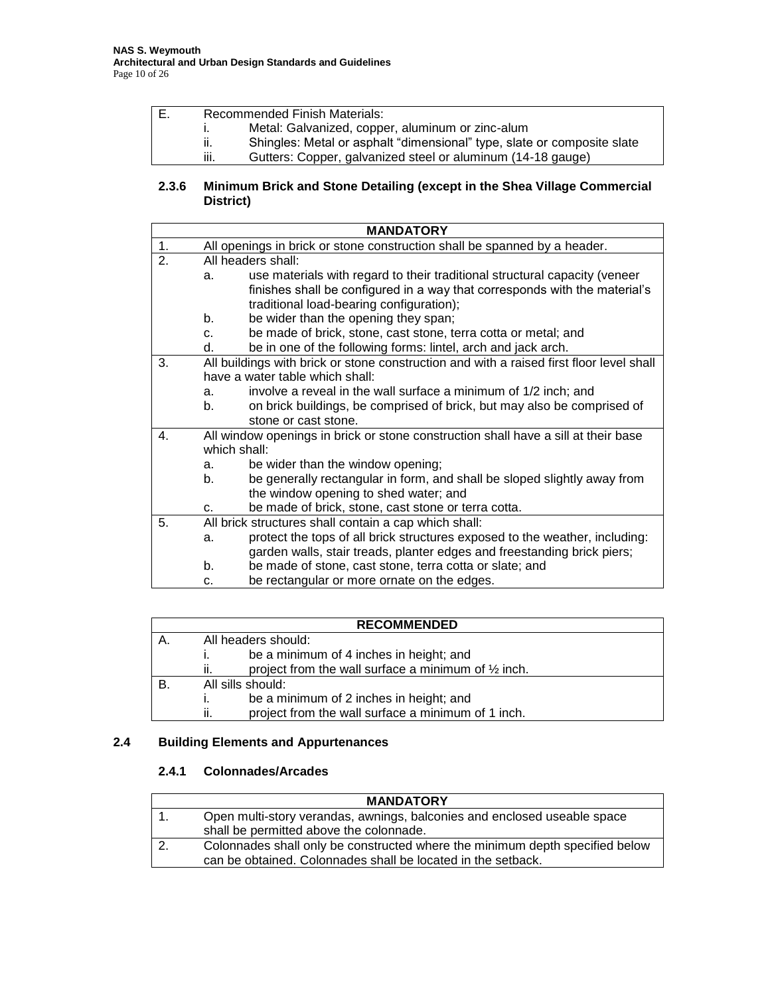|     | Recommended Finish Materials:                                           |  |
|-----|-------------------------------------------------------------------------|--|
|     | Metal: Galvanized, copper, aluminum or zinc-alum                        |  |
| ii. | Shingles: Metal or asphalt "dimensional" type, slate or composite slate |  |
| Ш.  | Gutters: Copper, galvanized steel or aluminum (14-18 gauge)             |  |

## **2.3.6 Minimum Brick and Stone Detailing (except in the Shea Village Commercial District)**

|    | <b>MANDATORY</b>   |                                                                                          |  |
|----|--------------------|------------------------------------------------------------------------------------------|--|
| 1. |                    | All openings in brick or stone construction shall be spanned by a header.                |  |
| 2. | All headers shall: |                                                                                          |  |
|    | a.                 | use materials with regard to their traditional structural capacity (veneer               |  |
|    |                    | finishes shall be configured in a way that corresponds with the material's               |  |
|    |                    | traditional load-bearing configuration);                                                 |  |
|    | b.                 | be wider than the opening they span;                                                     |  |
|    | C.                 | be made of brick, stone, cast stone, terra cotta or metal; and                           |  |
|    | d.                 | be in one of the following forms: lintel, arch and jack arch.                            |  |
| 3. |                    | All buildings with brick or stone construction and with a raised first floor level shall |  |
|    |                    | have a water table which shall:                                                          |  |
|    | a.                 | involve a reveal in the wall surface a minimum of 1/2 inch; and                          |  |
|    | b.                 | on brick buildings, be comprised of brick, but may also be comprised of                  |  |
|    |                    | stone or cast stone.                                                                     |  |
| 4. |                    | All window openings in brick or stone construction shall have a sill at their base       |  |
|    | which shall:       |                                                                                          |  |
|    | a.                 | be wider than the window opening;                                                        |  |
|    | b.                 | be generally rectangular in form, and shall be sloped slightly away from                 |  |
|    |                    | the window opening to shed water; and                                                    |  |
|    | C.                 | be made of brick, stone, cast stone or terra cotta.                                      |  |
| 5. |                    | All brick structures shall contain a cap which shall:                                    |  |
|    | a.                 | protect the tops of all brick structures exposed to the weather, including:              |  |
|    |                    | garden walls, stair treads, planter edges and freestanding brick piers;                  |  |
|    | b.                 | be made of stone, cast stone, terra cotta or slate; and                                  |  |
|    | C.                 | be rectangular or more ornate on the edges.                                              |  |

| <b>RECOMMENDED</b> |                     |                                                                |
|--------------------|---------------------|----------------------------------------------------------------|
|                    | All headers should: |                                                                |
|                    | ı.                  | be a minimum of 4 inches in height; and                        |
|                    | ii.                 | project from the wall surface a minimum of $\frac{1}{2}$ inch. |
| В.                 | All sills should:   |                                                                |
|                    |                     | be a minimum of 2 inches in height; and                        |
|                    | ii.                 | project from the wall surface a minimum of 1 inch.             |

# **2.4 Building Elements and Appurtenances**

### **2.4.1 Colonnades/Arcades**

| <b>MANDATORY</b>                                                                                                                             |
|----------------------------------------------------------------------------------------------------------------------------------------------|
| Open multi-story verandas, awnings, balconies and enclosed useable space<br>shall be permitted above the colonnade.                          |
| Colonnades shall only be constructed where the minimum depth specified below<br>can be obtained. Colonnades shall be located in the setback. |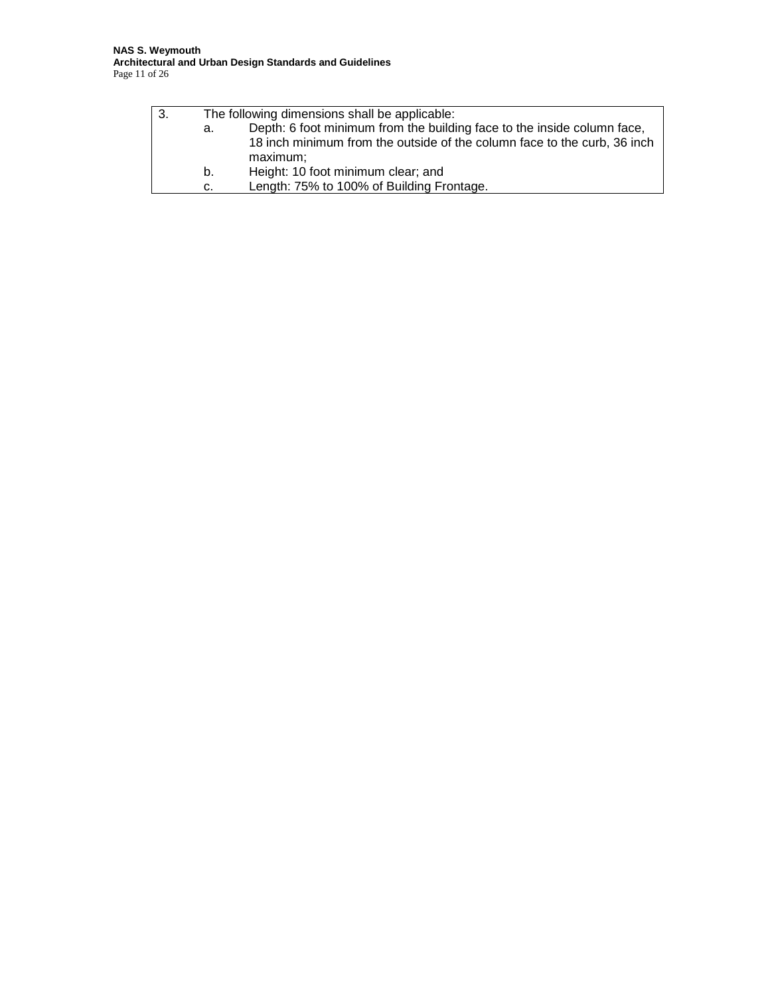| -3. | The following dimensions shall be applicable: |                                                                          |
|-----|-----------------------------------------------|--------------------------------------------------------------------------|
|     | а.                                            | Depth: 6 foot minimum from the building face to the inside column face,  |
|     |                                               | 18 inch minimum from the outside of the column face to the curb, 36 inch |
|     |                                               | maximum:                                                                 |
|     | b.                                            | Height: 10 foot minimum clear; and                                       |
|     | C.                                            | Length: 75% to 100% of Building Frontage.                                |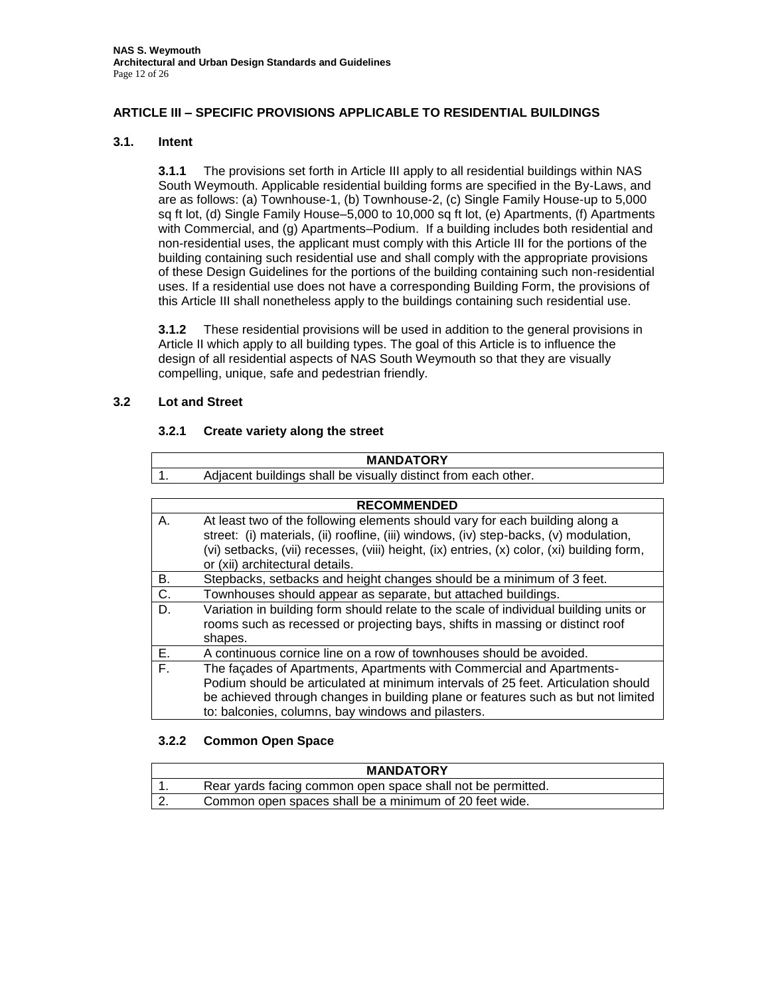## **ARTICLE III – SPECIFIC PROVISIONS APPLICABLE TO RESIDENTIAL BUILDINGS**

### **3.1. Intent**

**3.1.1** The provisions set forth in Article III apply to all residential buildings within NAS South Weymouth. Applicable residential building forms are specified in the By-Laws, and are as follows: (a) Townhouse-1, (b) Townhouse-2, (c) Single Family House-up to 5,000 sq ft lot, (d) Single Family House–5,000 to 10,000 sq ft lot, (e) Apartments, (f) Apartments with Commercial, and (g) Apartments–Podium. If a building includes both residential and non-residential uses, the applicant must comply with this Article III for the portions of the building containing such residential use and shall comply with the appropriate provisions of these Design Guidelines for the portions of the building containing such non-residential uses. If a residential use does not have a corresponding Building Form, the provisions of this Article III shall nonetheless apply to the buildings containing such residential use.

**3.1.2** These residential provisions will be used in addition to the general provisions in Article II which apply to all building types. The goal of this Article is to influence the design of all residential aspects of NAS South Weymouth so that they are visually compelling, unique, safe and pedestrian friendly.

### **3.2 Lot and Street**

### **3.2.1 Create variety along the street**

|                  | <b>MANDATORY</b>                                                                                                                                                                                                                                                                                       |
|------------------|--------------------------------------------------------------------------------------------------------------------------------------------------------------------------------------------------------------------------------------------------------------------------------------------------------|
| $\overline{1}$ . | Adjacent buildings shall be visually distinct from each other.                                                                                                                                                                                                                                         |
|                  |                                                                                                                                                                                                                                                                                                        |
|                  | <b>RECOMMENDED</b>                                                                                                                                                                                                                                                                                     |
| А.               | At least two of the following elements should vary for each building along a<br>street: (i) materials, (ii) roofline, (iii) windows, (iv) step-backs, (v) modulation,<br>(vi) setbacks, (vii) recesses, (viii) height, (ix) entries, (x) color, (xi) building form,<br>or (xii) architectural details. |
| В.               | Stepbacks, setbacks and height changes should be a minimum of 3 feet.                                                                                                                                                                                                                                  |
| C.               | Townhouses should appear as separate, but attached buildings.                                                                                                                                                                                                                                          |
| D.               | Variation in building form should relate to the scale of individual building units or<br>rooms such as recessed or projecting bays, shifts in massing or distinct roof<br>shapes.                                                                                                                      |
| Е.               | A continuous cornice line on a row of townhouses should be avoided.                                                                                                                                                                                                                                    |
| F.               | The façades of Apartments, Apartments with Commercial and Apartments-<br>Podium should be articulated at minimum intervals of 25 feet. Articulation should<br>be achieved through changes in building plane or features such as but not limited<br>to: balconies, columns, bay windows and pilasters.  |

#### **3.2.2 Common Open Space**

| <b>MANDATORY</b>                                            |
|-------------------------------------------------------------|
| Rear yards facing common open space shall not be permitted. |
| Common open spaces shall be a minimum of 20 feet wide.      |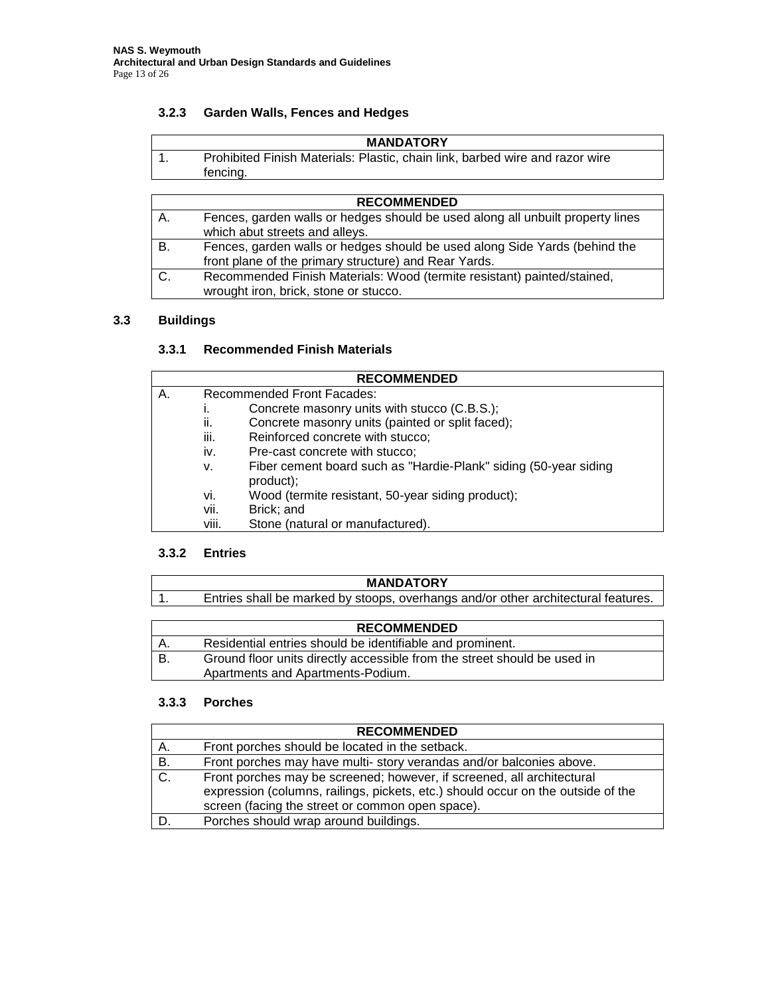# **3.2.3 Garden Walls, Fences and Hedges**

### **MANDATORY**

| Prohibited Finish Materials: Plastic, chain link, barbed wire and razor wire |
|------------------------------------------------------------------------------|
| fencing.                                                                     |

|    | <b>RECOMMENDED</b>                                                                                               |
|----|------------------------------------------------------------------------------------------------------------------|
| Α. | Fences, garden walls or hedges should be used along all unbuilt property lines<br>which abut streets and alleys. |
| В. | Fences, garden walls or hedges should be used along Side Yards (behind the                                       |
|    | front plane of the primary structure) and Rear Yards.                                                            |
| C. | Recommended Finish Materials: Wood (termite resistant) painted/stained,<br>wrought iron, brick, stone or stucco. |

# **3.3 Buildings**

### **3.3.1 Recommended Finish Materials**

| <b>RECOMMENDED</b> |                                   |                                                                               |
|--------------------|-----------------------------------|-------------------------------------------------------------------------------|
| А.                 | <b>Recommended Front Facades:</b> |                                                                               |
|                    | ۱.                                | Concrete masonry units with stucco (C.B.S.);                                  |
|                    | ii.                               | Concrete masonry units (painted or split faced);                              |
|                    | iii.                              | Reinforced concrete with stucco;                                              |
|                    | iv.                               | Pre-cast concrete with stucco;                                                |
|                    | v.                                | Fiber cement board such as "Hardie-Plank" siding (50-year siding<br>product); |
|                    | vi.                               | Wood (termite resistant, 50-year siding product);                             |
|                    | vii.                              | Brick; and                                                                    |
|                    | viii.                             | Stone (natural or manufactured).                                              |

# **3.3.2 Entries**

|  | <b>MANDATORY</b>                                                                  |
|--|-----------------------------------------------------------------------------------|
|  | Entries shall be marked by stoops, overhangs and/or other architectural features. |

|    | <b>RECOMMENDED</b>                                                       |
|----|--------------------------------------------------------------------------|
| ∼. | Residential entries should be identifiable and prominent.                |
|    | Ground floor units directly accessible from the street should be used in |
|    | Apartments and Apartments-Podium.                                        |

## **3.3.3 Porches**

|                  | <b>RECOMMENDED</b>                                                                                                                                                                                             |
|------------------|----------------------------------------------------------------------------------------------------------------------------------------------------------------------------------------------------------------|
| А.               | Front porches should be located in the setback.                                                                                                                                                                |
| В.               | Front porches may have multi-story verandas and/or balconies above.                                                                                                                                            |
| $\overline{C}$ . | Front porches may be screened; however, if screened, all architectural<br>expression (columns, railings, pickets, etc.) should occur on the outside of the<br>screen (facing the street or common open space). |
| D.               | Porches should wrap around buildings.                                                                                                                                                                          |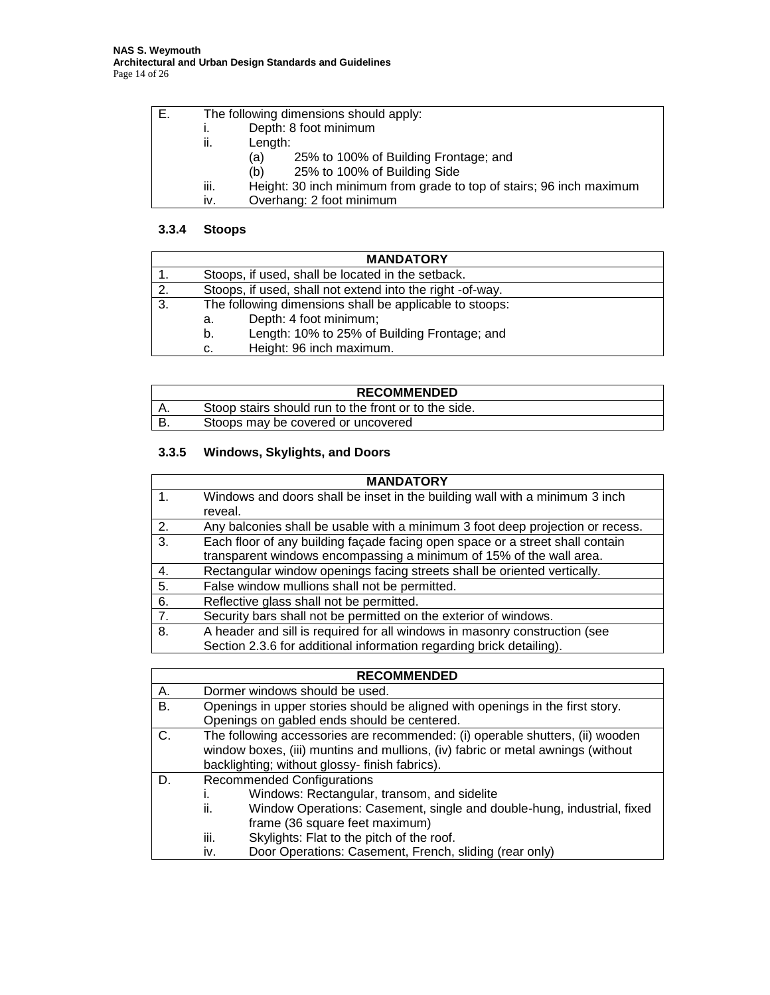| Е. | The following dimensions should apply: |                                                                      |
|----|----------------------------------------|----------------------------------------------------------------------|
|    | Τ.                                     | Depth: 8 foot minimum                                                |
|    | ii.                                    | Length:                                                              |
|    |                                        | 25% to 100% of Building Frontage; and<br>(a)                         |
|    |                                        | 25% to 100% of Building Side<br>(b)                                  |
|    | iii.                                   | Height: 30 inch minimum from grade to top of stairs; 96 inch maximum |
|    | IV.                                    | Overhang: 2 foot minimum                                             |

# **3.3.4 Stoops**

| <b>MANDATORY</b>                                  |                                                           |                                              |  |
|---------------------------------------------------|-----------------------------------------------------------|----------------------------------------------|--|
| Stoops, if used, shall be located in the setback. |                                                           |                                              |  |
| 2.                                                | Stoops, if used, shall not extend into the right -of-way. |                                              |  |
| 3.                                                | The following dimensions shall be applicable to stoops:   |                                              |  |
|                                                   | а.                                                        | Depth: 4 foot minimum;                       |  |
|                                                   | b.                                                        | Length: 10% to 25% of Building Frontage; and |  |
|                                                   | c.                                                        | Height: 96 inch maximum.                     |  |

| <b>RECOMMENDED</b> |                                                      |  |
|--------------------|------------------------------------------------------|--|
| л.                 | Stoop stairs should run to the front or to the side. |  |
|                    | Stoops may be covered or uncovered                   |  |

# **3.3.5 Windows, Skylights, and Doors**

| <b>MANDATORY</b> |                                                                                                                                                      |  |  |
|------------------|------------------------------------------------------------------------------------------------------------------------------------------------------|--|--|
| 1.               | Windows and doors shall be inset in the building wall with a minimum 3 inch<br>reveal.                                                               |  |  |
| 2.               | Any balconies shall be usable with a minimum 3 foot deep projection or recess.                                                                       |  |  |
| 3.               | Each floor of any building façade facing open space or a street shall contain<br>transparent windows encompassing a minimum of 15% of the wall area. |  |  |
| 4.               | Rectangular window openings facing streets shall be oriented vertically.                                                                             |  |  |
| 5.               | False window mullions shall not be permitted.                                                                                                        |  |  |
| 6.               | Reflective glass shall not be permitted.                                                                                                             |  |  |
| 7 <sub>1</sub>   | Security bars shall not be permitted on the exterior of windows.                                                                                     |  |  |
| 8.               | A header and sill is required for all windows in masonry construction (see<br>Section 2.3.6 for additional information regarding brick detailing).   |  |  |

|                                               | <b>RECOMMENDED</b>                                                              |  |  |
|-----------------------------------------------|---------------------------------------------------------------------------------|--|--|
| А.                                            | Dormer windows should be used.                                                  |  |  |
| В.                                            | Openings in upper stories should be aligned with openings in the first story.   |  |  |
|                                               | Openings on gabled ends should be centered.                                     |  |  |
| C.                                            | The following accessories are recommended: (i) operable shutters, (ii) wooden   |  |  |
|                                               | window boxes, (iii) muntins and mullions, (iv) fabric or metal awnings (without |  |  |
| backlighting; without glossy-finish fabrics). |                                                                                 |  |  |
| D.                                            | <b>Recommended Configurations</b>                                               |  |  |
|                                               | Windows: Rectangular, transom, and sidelite<br>ı.                               |  |  |
|                                               | ii.<br>Window Operations: Casement, single and double-hung, industrial, fixed   |  |  |
|                                               | frame (36 square feet maximum)                                                  |  |  |
|                                               | Skylights: Flat to the pitch of the roof.<br>Ш.                                 |  |  |
|                                               | Door Operations: Casement, French, sliding (rear only)<br>İV.                   |  |  |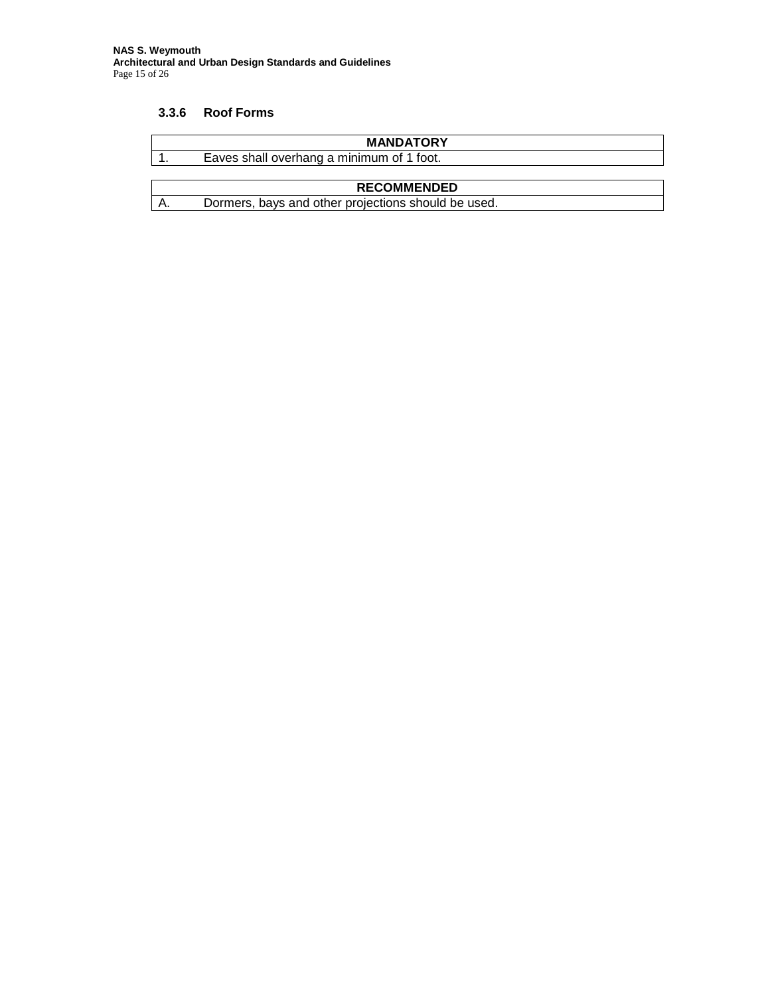### **3.3.6 Roof Forms**

| <b>MANDATORY</b>                          |  |
|-------------------------------------------|--|
| Eaves shall overhang a minimum of 1 foot. |  |
|                                           |  |

**RECOMMENDED** A. Dormers, bays and other projections should be used.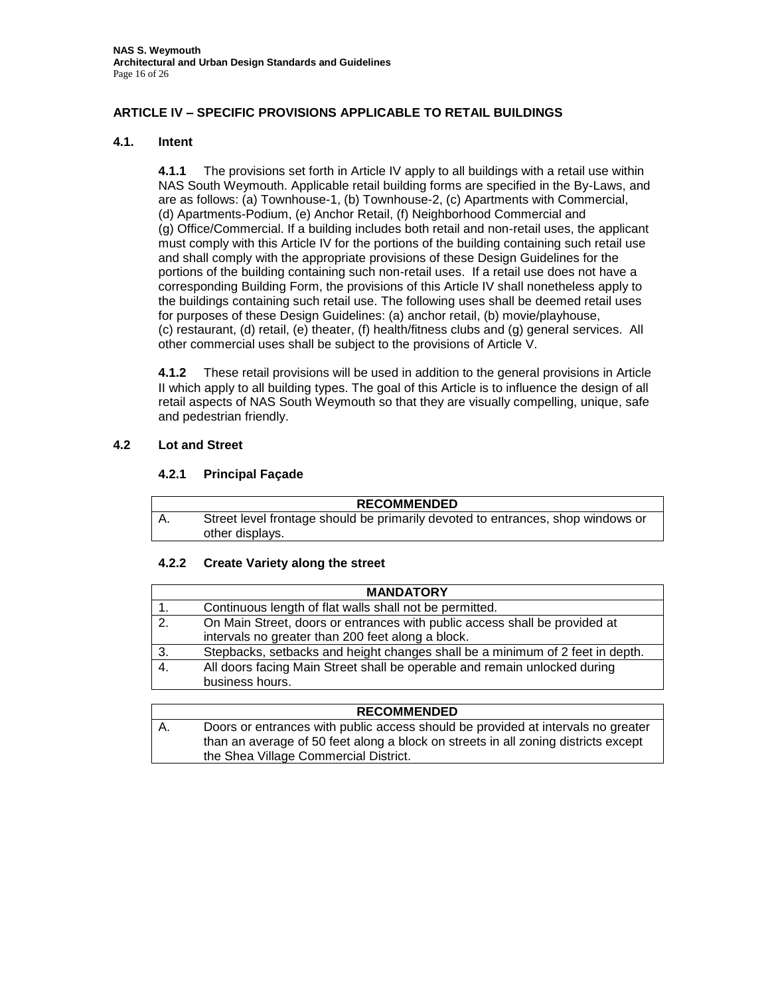## **ARTICLE IV – SPECIFIC PROVISIONS APPLICABLE TO RETAIL BUILDINGS**

### **4.1. Intent**

**4.1.1** The provisions set forth in Article IV apply to all buildings with a retail use within NAS South Weymouth. Applicable retail building forms are specified in the By-Laws, and are as follows: (a) Townhouse-1, (b) Townhouse-2, (c) Apartments with Commercial, (d) Apartments-Podium, (e) Anchor Retail, (f) Neighborhood Commercial and (g) Office/Commercial. If a building includes both retail and non-retail uses, the applicant must comply with this Article IV for the portions of the building containing such retail use and shall comply with the appropriate provisions of these Design Guidelines for the portions of the building containing such non-retail uses. If a retail use does not have a corresponding Building Form, the provisions of this Article IV shall nonetheless apply to the buildings containing such retail use. The following uses shall be deemed retail uses for purposes of these Design Guidelines: (a) anchor retail, (b) movie/playhouse, (c) restaurant, (d) retail, (e) theater, (f) health/fitness clubs and (g) general services. All other commercial uses shall be subject to the provisions of Article V.

**4.1.2** These retail provisions will be used in addition to the general provisions in Article II which apply to all building types. The goal of this Article is to influence the design of all retail aspects of NAS South Weymouth so that they are visually compelling, unique, safe and pedestrian friendly.

### **4.2 Lot and Street**

### **4.2.1 Principal Façade**

| <b>RECOMMENDED</b>                                                              |
|---------------------------------------------------------------------------------|
| Street level frontage should be primarily devoted to entrances, shop windows or |
| other displays.                                                                 |

#### **4.2.2 Create Variety along the street**

| <b>MANDATORY</b> |                                                                                                                                 |  |  |
|------------------|---------------------------------------------------------------------------------------------------------------------------------|--|--|
|                  | Continuous length of flat walls shall not be permitted.                                                                         |  |  |
| 2.               | On Main Street, doors or entrances with public access shall be provided at<br>intervals no greater than 200 feet along a block. |  |  |
| 3.               | Stepbacks, setbacks and height changes shall be a minimum of 2 feet in depth.                                                   |  |  |
| 4.               | All doors facing Main Street shall be operable and remain unlocked during<br>business hours.                                    |  |  |
|                  |                                                                                                                                 |  |  |

|      | <b>RECOMMENDED</b>                                                                 |
|------|------------------------------------------------------------------------------------|
| I A. | Doors or entrances with public access should be provided at intervals no greater   |
|      | than an average of 50 feet along a block on streets in all zoning districts except |
|      | the Shea Village Commercial District.                                              |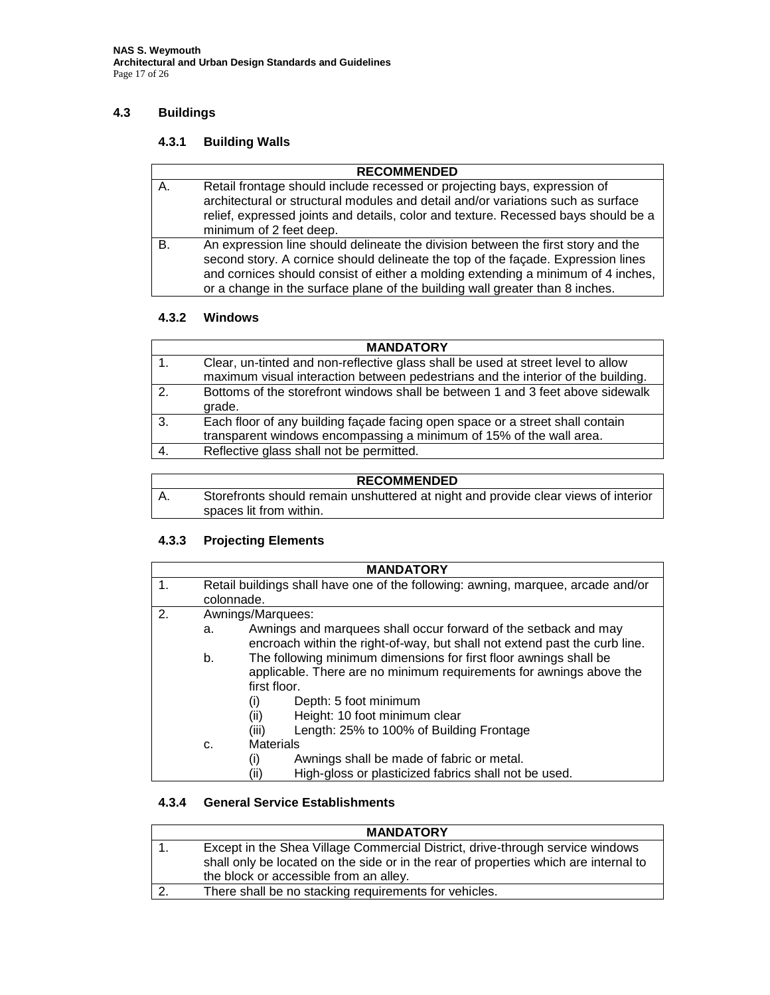## **4.3 Buildings**

# **4.3.1 Building Walls**

|                                                                                    | <b>RECOMMENDED</b>                                                               |  |  |  |
|------------------------------------------------------------------------------------|----------------------------------------------------------------------------------|--|--|--|
|                                                                                    | Retail frontage should include recessed or projecting bays, expression of        |  |  |  |
|                                                                                    | architectural or structural modules and detail and/or variations such as surface |  |  |  |
| relief, expressed joints and details, color and texture. Recessed bays should be a |                                                                                  |  |  |  |
|                                                                                    | minimum of 2 feet deep.                                                          |  |  |  |
| B.                                                                                 | An expression line should delineate the division between the first story and the |  |  |  |
|                                                                                    | second story. A cornice should delineate the top of the façade. Expression lines |  |  |  |
|                                                                                    | and cornices should consist of either a molding extending a minimum of 4 inches, |  |  |  |
|                                                                                    | or a change in the surface plane of the building wall greater than 8 inches.     |  |  |  |

### **4.3.2 Windows**

| <b>MANDATORY</b> |                                                                                                                                                                      |  |  |
|------------------|----------------------------------------------------------------------------------------------------------------------------------------------------------------------|--|--|
|                  | Clear, un-tinted and non-reflective glass shall be used at street level to allow<br>maximum visual interaction between pedestrians and the interior of the building. |  |  |
| $\mathcal{P}$    | Bottoms of the storefront windows shall be between 1 and 3 feet above sidewalk<br>grade.                                                                             |  |  |
| 3.               | Each floor of any building façade facing open space or a street shall contain<br>transparent windows encompassing a minimum of 15% of the wall area.                 |  |  |
|                  | Reflective glass shall not be permitted.                                                                                                                             |  |  |

| <b>RECOMMENDED</b>                                                                 |  |  |
|------------------------------------------------------------------------------------|--|--|
| Storefronts should remain unshuttered at night and provide clear views of interior |  |  |
| spaces lit from within.                                                            |  |  |

# **4.3.3 Projecting Elements**

| <b>MANDATORY</b> |    |                                                                                                                                                          |
|------------------|----|----------------------------------------------------------------------------------------------------------------------------------------------------------|
| 1.               |    | Retail buildings shall have one of the following: awning, marquee, arcade and/or                                                                         |
|                  |    | colonnade.                                                                                                                                               |
| 2.               |    | Awnings/Marquees:                                                                                                                                        |
|                  | a. | Awnings and marquees shall occur forward of the setback and may<br>encroach within the right-of-way, but shall not extend past the curb line.            |
|                  | b. | The following minimum dimensions for first floor awnings shall be<br>applicable. There are no minimum requirements for awnings above the<br>first floor. |
|                  |    | Depth: 5 foot minimum<br>(۱)                                                                                                                             |
|                  |    | Height: 10 foot minimum clear<br>(ii)                                                                                                                    |
|                  |    | Length: 25% to 100% of Building Frontage<br>(iii)                                                                                                        |
|                  | c. | <b>Materials</b>                                                                                                                                         |
|                  |    | Awnings shall be made of fabric or metal.<br>$\mathbf{I}$                                                                                                |
|                  |    | High-gloss or plasticized fabrics shall not be used.<br>(ii)                                                                                             |

# **4.3.4 General Service Establishments**

| <b>MANDATORY</b>                                                                     |
|--------------------------------------------------------------------------------------|
| Except in the Shea Village Commercial District, drive-through service windows        |
| shall only be located on the side or in the rear of properties which are internal to |
| the block or accessible from an alley.                                               |
| There shall be no stacking requirements for vehicles.                                |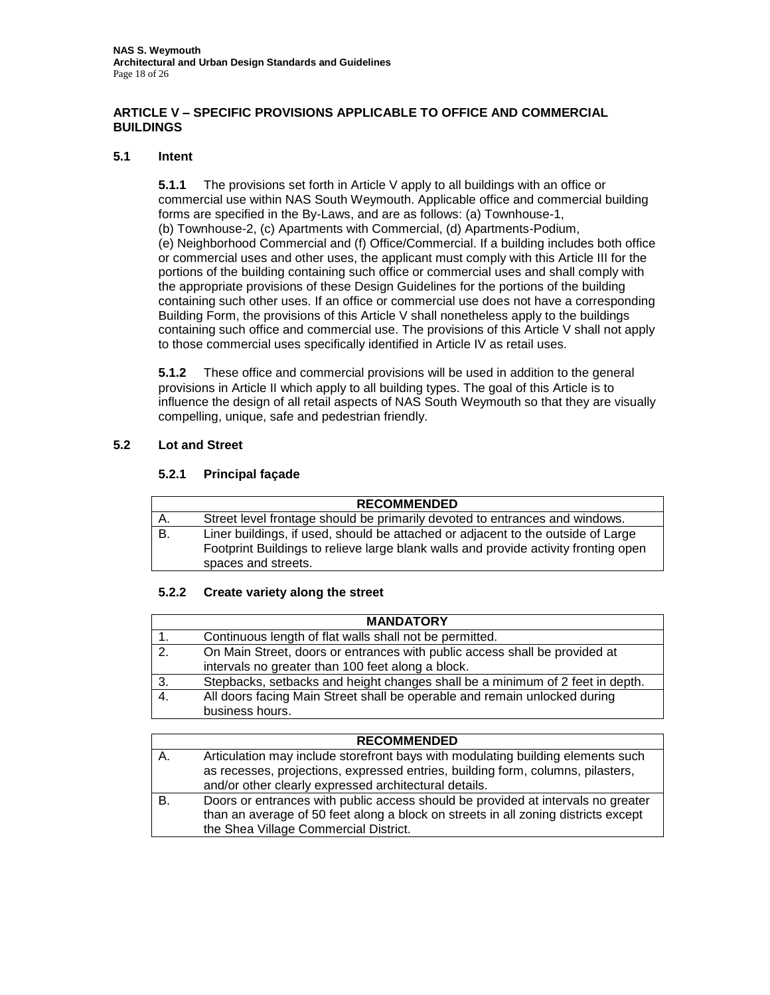### **ARTICLE V – SPECIFIC PROVISIONS APPLICABLE TO OFFICE AND COMMERCIAL BUILDINGS**

#### **5.1 Intent**

**5.1.1** The provisions set forth in Article V apply to all buildings with an office or commercial use within NAS South Weymouth. Applicable office and commercial building forms are specified in the By-Laws, and are as follows: (a) Townhouse-1, (b) Townhouse-2, (c) Apartments with Commercial, (d) Apartments-Podium, (e) Neighborhood Commercial and (f) Office/Commercial. If a building includes both office or commercial uses and other uses, the applicant must comply with this Article III for the portions of the building containing such office or commercial uses and shall comply with the appropriate provisions of these Design Guidelines for the portions of the building containing such other uses. If an office or commercial use does not have a corresponding Building Form, the provisions of this Article V shall nonetheless apply to the buildings containing such office and commercial use. The provisions of this Article V shall not apply to those commercial uses specifically identified in Article IV as retail uses.

**5.1.2** These office and commercial provisions will be used in addition to the general provisions in Article II which apply to all building types. The goal of this Article is to influence the design of all retail aspects of NAS South Weymouth so that they are visually compelling, unique, safe and pedestrian friendly.

#### **5.2 Lot and Street**

### **5.2.1 Principal façade**

|    | <b>RECOMMENDED</b>                                                                                                                                                                             |
|----|------------------------------------------------------------------------------------------------------------------------------------------------------------------------------------------------|
| А. | Street level frontage should be primarily devoted to entrances and windows.                                                                                                                    |
| В. | Liner buildings, if used, should be attached or adjacent to the outside of Large<br>Footprint Buildings to relieve large blank walls and provide activity fronting open<br>spaces and streets. |

#### **5.2.2 Create variety along the street**

|    | <b>MANDATORY</b>                                                              |  |
|----|-------------------------------------------------------------------------------|--|
| 1. | Continuous length of flat walls shall not be permitted.                       |  |
| 2. | On Main Street, doors or entrances with public access shall be provided at    |  |
|    | intervals no greater than 100 feet along a block.                             |  |
| 3. | Stepbacks, setbacks and height changes shall be a minimum of 2 feet in depth. |  |
| 4. | All doors facing Main Street shall be operable and remain unlocked during     |  |
|    | business hours.                                                               |  |

|    | <b>RECOMMENDED</b>                                                                 |
|----|------------------------------------------------------------------------------------|
| А. | Articulation may include storefront bays with modulating building elements such    |
|    | as recesses, projections, expressed entries, building form, columns, pilasters,    |
|    | and/or other clearly expressed architectural details.                              |
| В. | Doors or entrances with public access should be provided at intervals no greater   |
|    | than an average of 50 feet along a block on streets in all zoning districts except |
|    | the Shea Village Commercial District.                                              |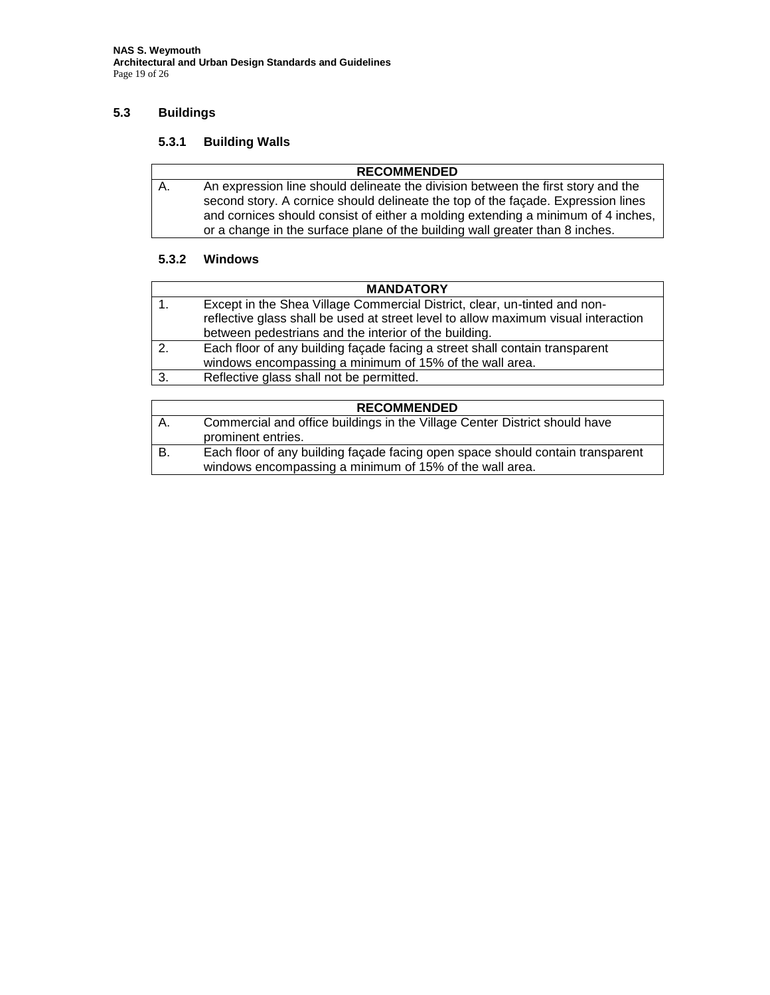# **5.3 Buildings**

# **5.3.1 Building Walls**

|    | <b>RECOMMENDED</b>                                                               |
|----|----------------------------------------------------------------------------------|
| A. | An expression line should delineate the division between the first story and the |
|    | second story. A cornice should delineate the top of the facade. Expression lines |
|    | and cornices should consist of either a molding extending a minimum of 4 inches, |
|    | or a change in the surface plane of the building wall greater than 8 inches.     |

#### **5.3.2 Windows**

|     | <b>MANDATORY</b>                                                                                                                                                |
|-----|-----------------------------------------------------------------------------------------------------------------------------------------------------------------|
|     | Except in the Shea Village Commercial District, clear, un-tinted and non-<br>reflective glass shall be used at street level to allow maximum visual interaction |
|     | between pedestrians and the interior of the building.                                                                                                           |
|     | Each floor of any building façade facing a street shall contain transparent<br>windows encompassing a minimum of 15% of the wall area.                          |
| -3. | Reflective glass shall not be permitted.                                                                                                                        |
|     |                                                                                                                                                                 |

| <b>RECOMMENDED</b>                                                                                                                        |
|-------------------------------------------------------------------------------------------------------------------------------------------|
| Commercial and office buildings in the Village Center District should have<br>prominent entries.                                          |
| Each floor of any building façade facing open space should contain transparent<br>windows encompassing a minimum of 15% of the wall area. |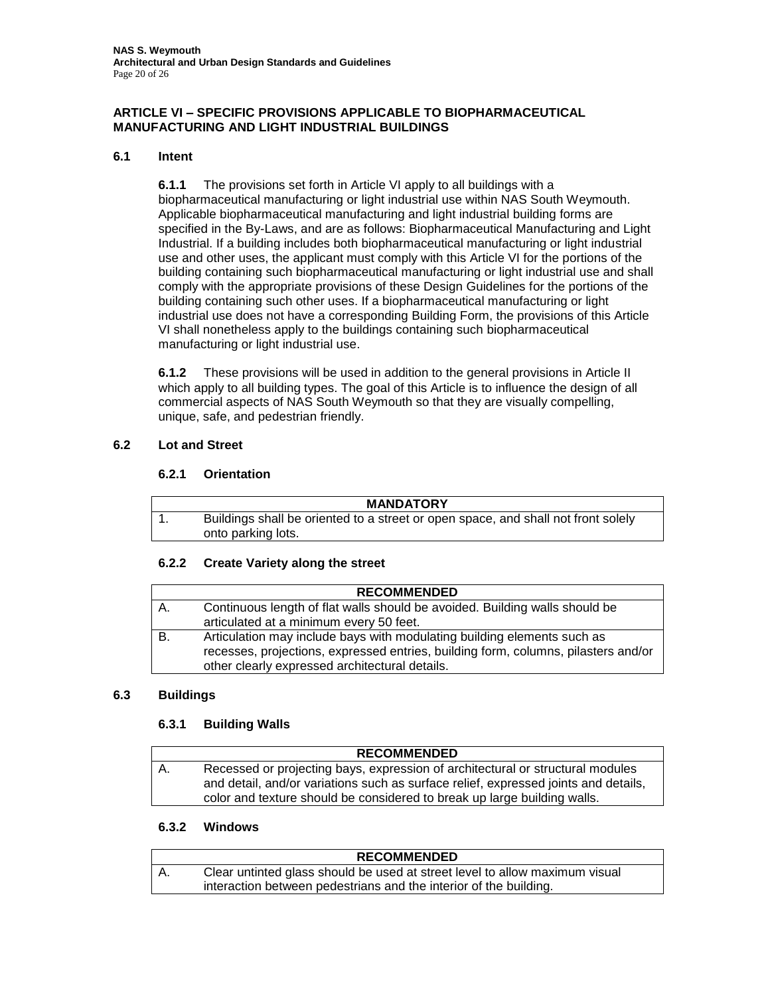#### **ARTICLE VI – SPECIFIC PROVISIONS APPLICABLE TO BIOPHARMACEUTICAL MANUFACTURING AND LIGHT INDUSTRIAL BUILDINGS**

#### **6.1 Intent**

**6.1.1** The provisions set forth in Article VI apply to all buildings with a biopharmaceutical manufacturing or light industrial use within NAS South Weymouth. Applicable biopharmaceutical manufacturing and light industrial building forms are specified in the By-Laws, and are as follows: Biopharmaceutical Manufacturing and Light Industrial. If a building includes both biopharmaceutical manufacturing or light industrial use and other uses, the applicant must comply with this Article VI for the portions of the building containing such biopharmaceutical manufacturing or light industrial use and shall comply with the appropriate provisions of these Design Guidelines for the portions of the building containing such other uses. If a biopharmaceutical manufacturing or light industrial use does not have a corresponding Building Form, the provisions of this Article VI shall nonetheless apply to the buildings containing such biopharmaceutical manufacturing or light industrial use.

**6.1.2** These provisions will be used in addition to the general provisions in Article II which apply to all building types. The goal of this Article is to influence the design of all commercial aspects of NAS South Weymouth so that they are visually compelling, unique, safe, and pedestrian friendly.

### **6.2 Lot and Street**

### **6.2.1 Orientation**

| <b>MANDATORY</b>                                                                  |  |
|-----------------------------------------------------------------------------------|--|
| Buildings shall be oriented to a street or open space, and shall not front solely |  |
| onto parking lots.                                                                |  |

## **6.2.2 Create Variety along the street**

|    | <b>RECOMMENDED</b>                                                                 |
|----|------------------------------------------------------------------------------------|
| А. | Continuous length of flat walls should be avoided. Building walls should be        |
|    | articulated at a minimum every 50 feet.                                            |
| В. | Articulation may include bays with modulating building elements such as            |
|    | recesses, projections, expressed entries, building form, columns, pilasters and/or |
|    | other clearly expressed architectural details.                                     |

#### **6.3 Buildings**

#### **6.3.1 Building Walls**

|    | <b>RECOMMENDED</b>                                                                  |
|----|-------------------------------------------------------------------------------------|
| А. | Recessed or projecting bays, expression of architectural or structural modules      |
|    | and detail, and/or variations such as surface relief, expressed joints and details, |
|    | color and texture should be considered to break up large building walls.            |

#### **6.3.2 Windows**

|  | <b>RECOMMENDED</b>                                                          |
|--|-----------------------------------------------------------------------------|
|  | Clear untinted glass should be used at street level to allow maximum visual |
|  | interaction between pedestrians and the interior of the building.           |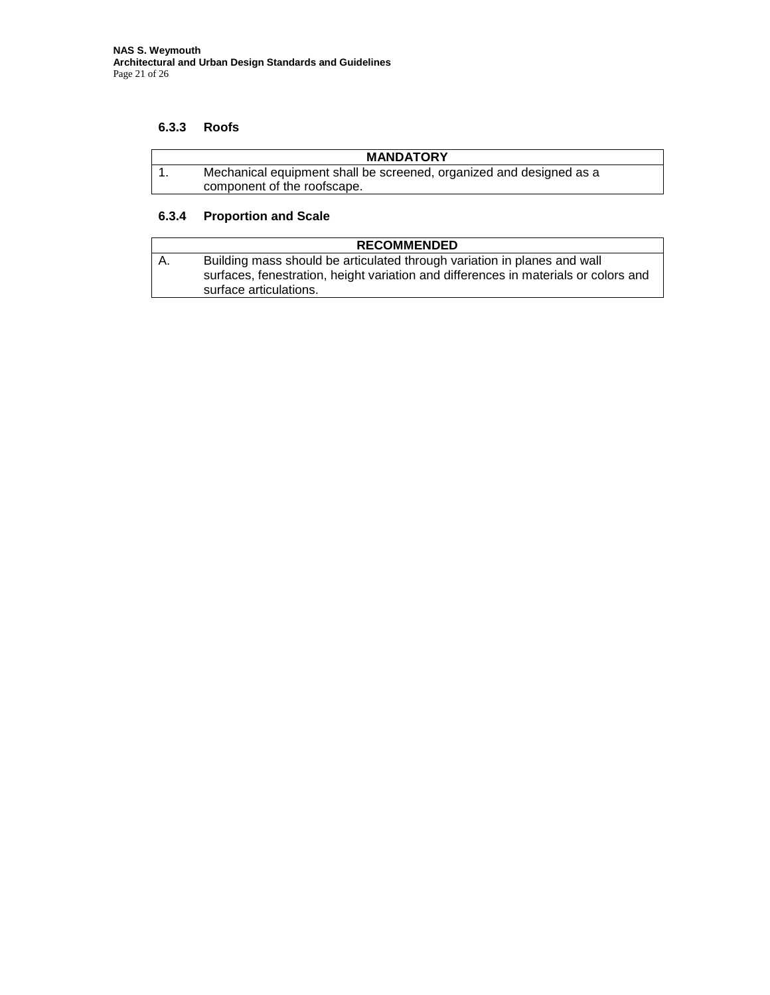#### **6.3.3 Roofs**

| <b>MANDATORY</b>                                                    |
|---------------------------------------------------------------------|
| Mechanical equipment shall be screened, organized and designed as a |
| component of the roofscape.                                         |

### **6.3.4 Proportion and Scale**

|    | <b>RECOMMENDED</b>                                                                  |
|----|-------------------------------------------------------------------------------------|
| Α. | Building mass should be articulated through variation in planes and wall            |
|    | surfaces, fenestration, height variation and differences in materials or colors and |
|    | surface articulations.                                                              |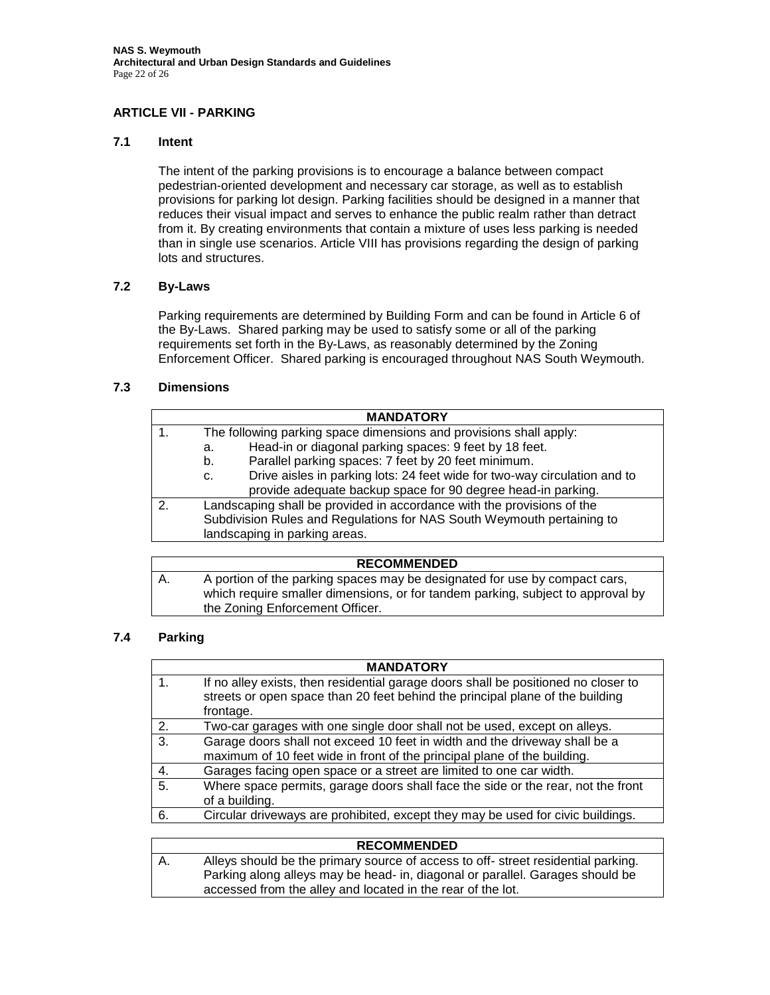## **ARTICLE VII - PARKING**

### **7.1 Intent**

The intent of the parking provisions is to encourage a balance between compact pedestrian-oriented development and necessary car storage, as well as to establish provisions for parking lot design. Parking facilities should be designed in a manner that reduces their visual impact and serves to enhance the public realm rather than detract from it. By creating environments that contain a mixture of uses less parking is needed than in single use scenarios. Article VIII has provisions regarding the design of parking lots and structures.

### **7.2 By-Laws**

Parking requirements are determined by Building Form and can be found in Article 6 of the By-Laws. Shared parking may be used to satisfy some or all of the parking requirements set forth in the By-Laws, as reasonably determined by the Zoning Enforcement Officer. Shared parking is encouraged throughout NAS South Weymouth.

### **7.3 Dimensions**

|   | <b>MANDATORY</b>                                                                |
|---|---------------------------------------------------------------------------------|
|   | The following parking space dimensions and provisions shall apply:              |
|   | Head-in or diagonal parking spaces: 9 feet by 18 feet.<br>a.                    |
|   | Parallel parking spaces: 7 feet by 20 feet minimum.<br>b.                       |
|   | Drive aisles in parking lots: 24 feet wide for two-way circulation and to<br>C. |
|   | provide adequate backup space for 90 degree head-in parking.                    |
| 2 | Landscaping shall be provided in accordance with the provisions of the          |
|   | Subdivision Rules and Regulations for NAS South Weymouth pertaining to          |
|   | landscaping in parking areas.                                                   |
|   |                                                                                 |

|     | <b>RECOMMENDED</b>                                                              |
|-----|---------------------------------------------------------------------------------|
| IA. | A portion of the parking spaces may be designated for use by compact cars,      |
|     | which require smaller dimensions, or for tandem parking, subject to approval by |
|     | the Zoning Enforcement Officer.                                                 |

### **7.4 Parking**

|    | <b>MANDATORY</b>                                                                   |
|----|------------------------------------------------------------------------------------|
| 1. | If no alley exists, then residential garage doors shall be positioned no closer to |
|    | streets or open space than 20 feet behind the principal plane of the building      |
|    | frontage.                                                                          |
| 2. | Two-car garages with one single door shall not be used, except on alleys.          |
| 3. | Garage doors shall not exceed 10 feet in width and the driveway shall be a         |
|    | maximum of 10 feet wide in front of the principal plane of the building.           |
| 4. | Garages facing open space or a street are limited to one car width.                |
| 5. | Where space permits, garage doors shall face the side or the rear, not the front   |
|    | of a building.                                                                     |
| 6. | Circular driveways are prohibited, except they may be used for civic buildings.    |

|    | <b>RECOMMENDED</b>                                                                |
|----|-----------------------------------------------------------------------------------|
| А. | Alleys should be the primary source of access to off- street residential parking. |
|    | Parking along alleys may be head- in, diagonal or parallel. Garages should be     |
|    | accessed from the alley and located in the rear of the lot.                       |

**RECOMMENDED**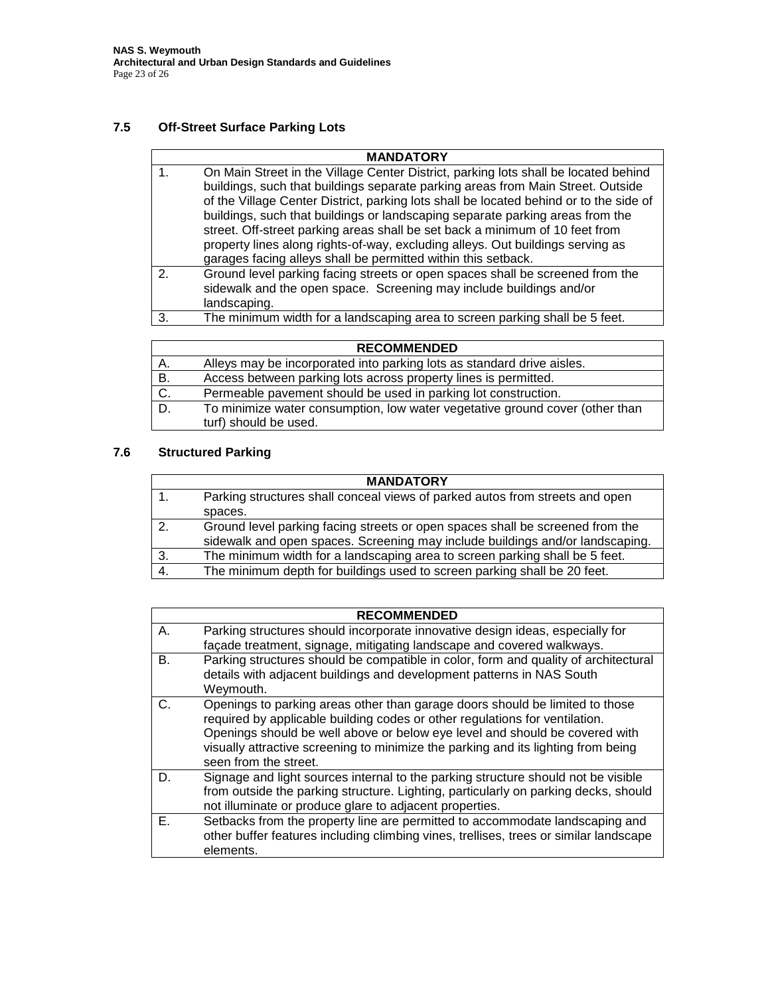# **7.5 Off-Street Surface Parking Lots**

|               | <b>MANDATORY</b>                                                                                                                                                                                                                                                                                                                                                                                                                                                                                                                                                                     |
|---------------|--------------------------------------------------------------------------------------------------------------------------------------------------------------------------------------------------------------------------------------------------------------------------------------------------------------------------------------------------------------------------------------------------------------------------------------------------------------------------------------------------------------------------------------------------------------------------------------|
|               | On Main Street in the Village Center District, parking lots shall be located behind<br>buildings, such that buildings separate parking areas from Main Street. Outside<br>of the Village Center District, parking lots shall be located behind or to the side of<br>buildings, such that buildings or landscaping separate parking areas from the<br>street. Off-street parking areas shall be set back a minimum of 10 feet from<br>property lines along rights-of-way, excluding alleys. Out buildings serving as<br>garages facing alleys shall be permitted within this setback. |
| $\mathcal{P}$ | Ground level parking facing streets or open spaces shall be screened from the<br>sidewalk and the open space. Screening may include buildings and/or<br>landscaping.                                                                                                                                                                                                                                                                                                                                                                                                                 |
| 3             | The minimum width for a landscaping area to screen parking shall be 5 feet.                                                                                                                                                                                                                                                                                                                                                                                                                                                                                                          |

|    | <b>RECOMMENDED</b>                                                           |
|----|------------------------------------------------------------------------------|
| А. | Alleys may be incorporated into parking lots as standard drive aisles.       |
| В. | Access between parking lots across property lines is permitted.              |
| С. | Permeable pavement should be used in parking lot construction.               |
|    | To minimize water consumption, low water vegetative ground cover (other than |
|    | turf) should be used.                                                        |

# **7.6 Structured Parking**

|              | <b>MANDATORY</b>                                                              |
|--------------|-------------------------------------------------------------------------------|
|              | Parking structures shall conceal views of parked autos from streets and open  |
|              | spaces.                                                                       |
| $\mathbf{2}$ | Ground level parking facing streets or open spaces shall be screened from the |
|              | sidewalk and open spaces. Screening may include buildings and/or landscaping. |
| 3.           | The minimum width for a landscaping area to screen parking shall be 5 feet.   |
|              | The minimum depth for buildings used to screen parking shall be 20 feet.      |

|    | <b>RECOMMENDED</b>                                                                                                                                           |
|----|--------------------------------------------------------------------------------------------------------------------------------------------------------------|
| Α. | Parking structures should incorporate innovative design ideas, especially for                                                                                |
|    | façade treatment, signage, mitigating landscape and covered walkways.                                                                                        |
| В. | Parking structures should be compatible in color, form and quality of architectural<br>details with adjacent buildings and development patterns in NAS South |
|    | Weymouth.                                                                                                                                                    |
| C. | Openings to parking areas other than garage doors should be limited to those                                                                                 |
|    | required by applicable building codes or other regulations for ventilation.                                                                                  |
|    | Openings should be well above or below eye level and should be covered with                                                                                  |
|    | visually attractive screening to minimize the parking and its lighting from being                                                                            |
|    | seen from the street.                                                                                                                                        |
| D. | Signage and light sources internal to the parking structure should not be visible                                                                            |
|    | from outside the parking structure. Lighting, particularly on parking decks, should                                                                          |
|    | not illuminate or produce glare to adjacent properties.                                                                                                      |
| Е. | Setbacks from the property line are permitted to accommodate landscaping and                                                                                 |
|    | other buffer features including climbing vines, trellises, trees or similar landscape                                                                        |
|    | elements.                                                                                                                                                    |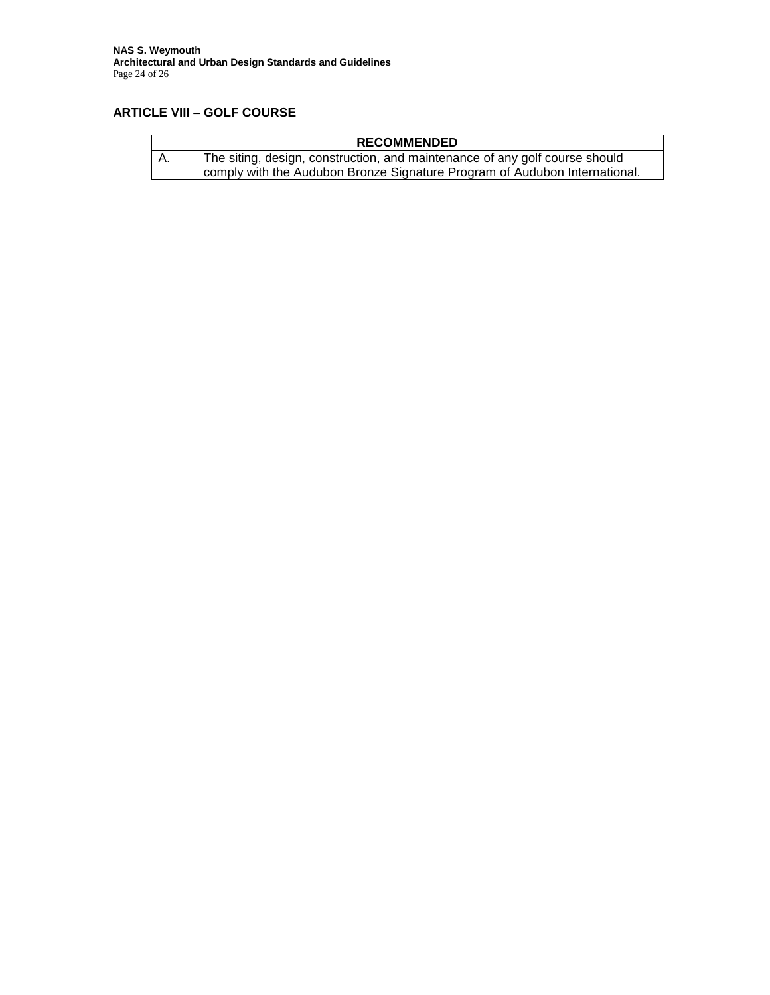# **ARTICLE VIII – GOLF COURSE**

|    | <b>RECOMMENDED</b>                                                          |
|----|-----------------------------------------------------------------------------|
| A. | The siting, design, construction, and maintenance of any golf course should |
|    | comply with the Audubon Bronze Signature Program of Audubon International.  |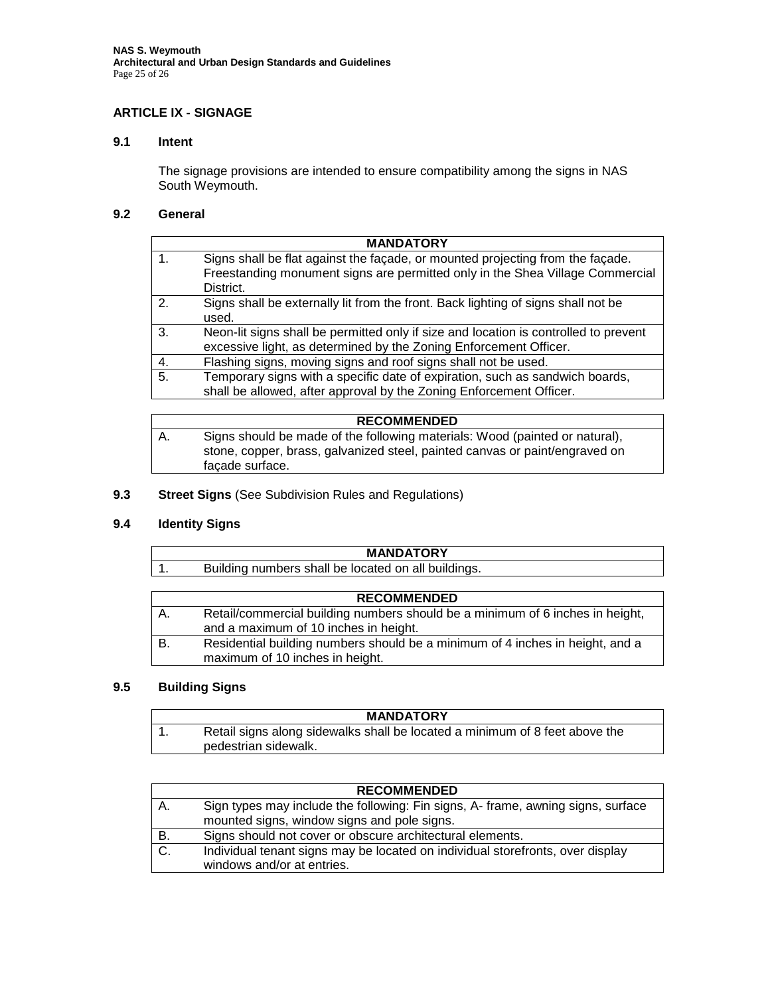# **ARTICLE IX - SIGNAGE**

### **9.1 Intent**

The signage provisions are intended to ensure compatibility among the signs in NAS South Weymouth.

#### **9.2 General**

|               | <b>MANDATORY</b>                                                                                                                                                             |
|---------------|------------------------------------------------------------------------------------------------------------------------------------------------------------------------------|
|               | Signs shall be flat against the facade, or mounted projecting from the facade.<br>Freestanding monument signs are permitted only in the Shea Village Commercial<br>District. |
| $\mathcal{P}$ | Signs shall be externally lit from the front. Back lighting of signs shall not be<br>used.                                                                                   |
| 3.            | Neon-lit signs shall be permitted only if size and location is controlled to prevent<br>excessive light, as determined by the Zoning Enforcement Officer.                    |
|               | Flashing signs, moving signs and roof signs shall not be used.                                                                                                               |
| 5.            | Temporary signs with a specific date of expiration, such as sandwich boards,<br>shall be allowed, after approval by the Zoning Enforcement Officer.                          |

### **RECOMMENDED** A. Signs should be made of the following materials: Wood (painted or natural), stone, copper, brass, galvanized steel, painted canvas or paint/engraved on façade surface.

**9.3 Street Signs** (See Subdivision Rules and Regulations)

#### **9.4 Identity Signs**

| <b>MANDATORY</b>                                                                                                     |
|----------------------------------------------------------------------------------------------------------------------|
| Building numbers shall be located on all buildings.                                                                  |
|                                                                                                                      |
| <b>RECOMMENDED</b>                                                                                                   |
| ■ Adall (a anno an chall beell din a communication and distance and an announce of ● in the announce in the interior |

| ΙA. | Retail/commercial building numbers should be a minimum of 6 inches in height, |
|-----|-------------------------------------------------------------------------------|
|     | and a maximum of 10 inches in height.                                         |
|     |                                                                               |
| ΙB. | Residential building numbers should be a minimum of 4 inches in height, and a |

### **9.5 Building Signs**

|     | <b>MANDATORY</b>                                                            |
|-----|-----------------------------------------------------------------------------|
| . . | Retail signs along sidewalks shall be located a minimum of 8 feet above the |
|     | pedestrian sidewalk.                                                        |

|    | <b>RECOMMENDED</b>                                                               |
|----|----------------------------------------------------------------------------------|
| А. | Sign types may include the following: Fin signs, A- frame, awning signs, surface |
|    | mounted signs, window signs and pole signs.                                      |
| В. | Signs should not cover or obscure architectural elements.                        |
| C. | Individual tenant signs may be located on individual storefronts, over display   |
|    | windows and/or at entries.                                                       |